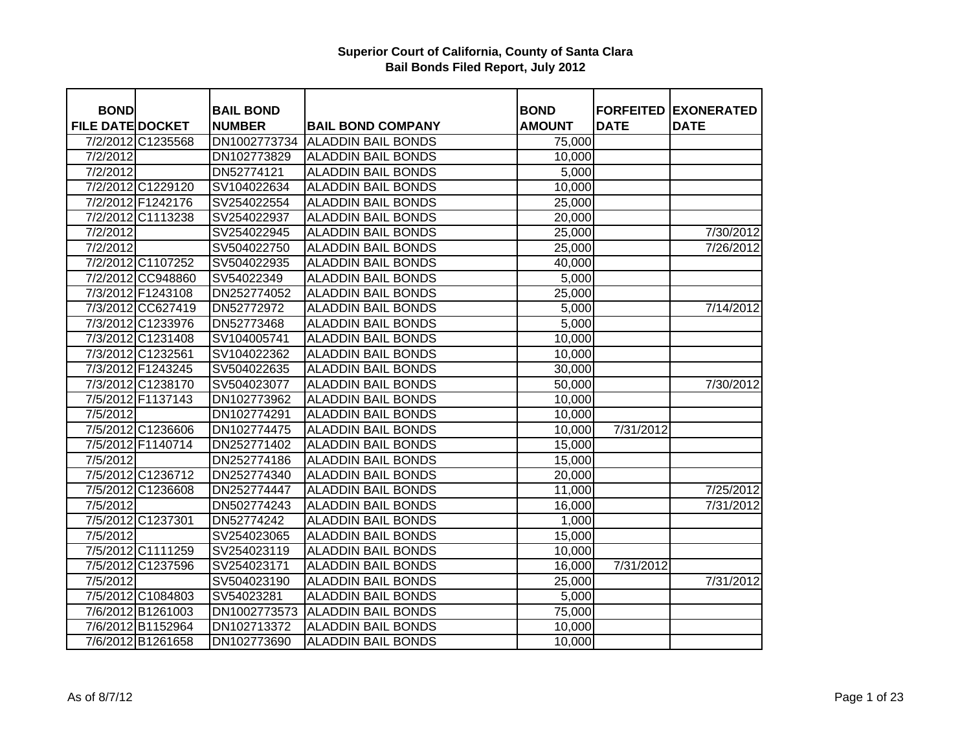| <b>BOND</b>             |                   | <b>BAIL BOND</b> |                           | <b>BOND</b>   |             | <b>FORFEITED EXONERATED</b> |
|-------------------------|-------------------|------------------|---------------------------|---------------|-------------|-----------------------------|
| <b>FILE DATE DOCKET</b> |                   | <b>NUMBER</b>    | <b>BAIL BOND COMPANY</b>  | <b>AMOUNT</b> | <b>DATE</b> | <b>DATE</b>                 |
|                         | 7/2/2012 C1235568 | DN1002773734     | <b>ALADDIN BAIL BONDS</b> | 75,000        |             |                             |
| 7/2/2012                |                   | DN102773829      | <b>ALADDIN BAIL BONDS</b> | 10,000        |             |                             |
| 7/2/2012                |                   | DN52774121       | <b>ALADDIN BAIL BONDS</b> | 5,000         |             |                             |
|                         | 7/2/2012 C1229120 | SV104022634      | <b>ALADDIN BAIL BONDS</b> | 10,000        |             |                             |
|                         | 7/2/2012 F1242176 | SV254022554      | <b>ALADDIN BAIL BONDS</b> | 25,000        |             |                             |
|                         | 7/2/2012 C1113238 | SV254022937      | <b>ALADDIN BAIL BONDS</b> | 20,000        |             |                             |
| 7/2/2012                |                   | SV254022945      | <b>ALADDIN BAIL BONDS</b> | 25,000        |             | 7/30/2012                   |
| 7/2/2012                |                   | SV504022750      | <b>ALADDIN BAIL BONDS</b> | 25,000        |             | 7/26/2012                   |
|                         | 7/2/2012 C1107252 | SV504022935      | <b>ALADDIN BAIL BONDS</b> | 40,000        |             |                             |
|                         | 7/2/2012 CC948860 | SV54022349       | <b>ALADDIN BAIL BONDS</b> | 5,000         |             |                             |
|                         | 7/3/2012 F1243108 | DN252774052      | <b>ALADDIN BAIL BONDS</b> | 25,000        |             |                             |
|                         | 7/3/2012 CC627419 | DN52772972       | <b>ALADDIN BAIL BONDS</b> | 5,000         |             | 7/14/2012                   |
|                         | 7/3/2012 C1233976 | DN52773468       | <b>ALADDIN BAIL BONDS</b> | 5,000         |             |                             |
|                         | 7/3/2012 C1231408 | SV104005741      | <b>ALADDIN BAIL BONDS</b> | 10,000        |             |                             |
|                         | 7/3/2012 C1232561 | SV104022362      | <b>ALADDIN BAIL BONDS</b> | 10,000        |             |                             |
|                         | 7/3/2012 F1243245 | SV504022635      | <b>ALADDIN BAIL BONDS</b> | 30,000        |             |                             |
|                         | 7/3/2012 C1238170 | SV504023077      | <b>ALADDIN BAIL BONDS</b> | 50,000        |             | 7/30/2012                   |
|                         | 7/5/2012 F1137143 | DN102773962      | <b>ALADDIN BAIL BONDS</b> | 10,000        |             |                             |
| 7/5/2012                |                   | DN102774291      | <b>ALADDIN BAIL BONDS</b> | 10,000        |             |                             |
|                         | 7/5/2012 C1236606 | DN102774475      | <b>ALADDIN BAIL BONDS</b> | 10,000        | 7/31/2012   |                             |
|                         | 7/5/2012 F1140714 | DN252771402      | <b>ALADDIN BAIL BONDS</b> | 15,000        |             |                             |
| 7/5/2012                |                   | DN252774186      | <b>ALADDIN BAIL BONDS</b> | 15,000        |             |                             |
|                         | 7/5/2012 C1236712 | DN252774340      | <b>ALADDIN BAIL BONDS</b> | 20,000        |             |                             |
|                         | 7/5/2012 C1236608 | DN252774447      | <b>ALADDIN BAIL BONDS</b> | 11,000        |             | 7/25/2012                   |
| 7/5/2012                |                   | DN502774243      | <b>ALADDIN BAIL BONDS</b> | 16,000        |             | 7/31/2012                   |
|                         | 7/5/2012 C1237301 | DN52774242       | <b>ALADDIN BAIL BONDS</b> | 1,000         |             |                             |
| 7/5/2012                |                   | SV254023065      | <b>ALADDIN BAIL BONDS</b> | 15,000        |             |                             |
|                         | 7/5/2012 C1111259 | SV254023119      | <b>ALADDIN BAIL BONDS</b> | 10,000        |             |                             |
|                         | 7/5/2012 C1237596 | SV254023171      | <b>ALADDIN BAIL BONDS</b> | 16,000        | 7/31/2012   |                             |
| 7/5/2012                |                   | SV504023190      | <b>ALADDIN BAIL BONDS</b> | 25,000        |             | 7/31/2012                   |
|                         | 7/5/2012 C1084803 | SV54023281       | <b>ALADDIN BAIL BONDS</b> | 5,000         |             |                             |
|                         | 7/6/2012 B1261003 | DN1002773573     | <b>ALADDIN BAIL BONDS</b> | 75,000        |             |                             |
|                         | 7/6/2012 B1152964 | DN102713372      | <b>ALADDIN BAIL BONDS</b> | 10,000        |             |                             |
|                         | 7/6/2012 B1261658 | DN102773690      | <b>ALADDIN BAIL BONDS</b> | 10,000        |             |                             |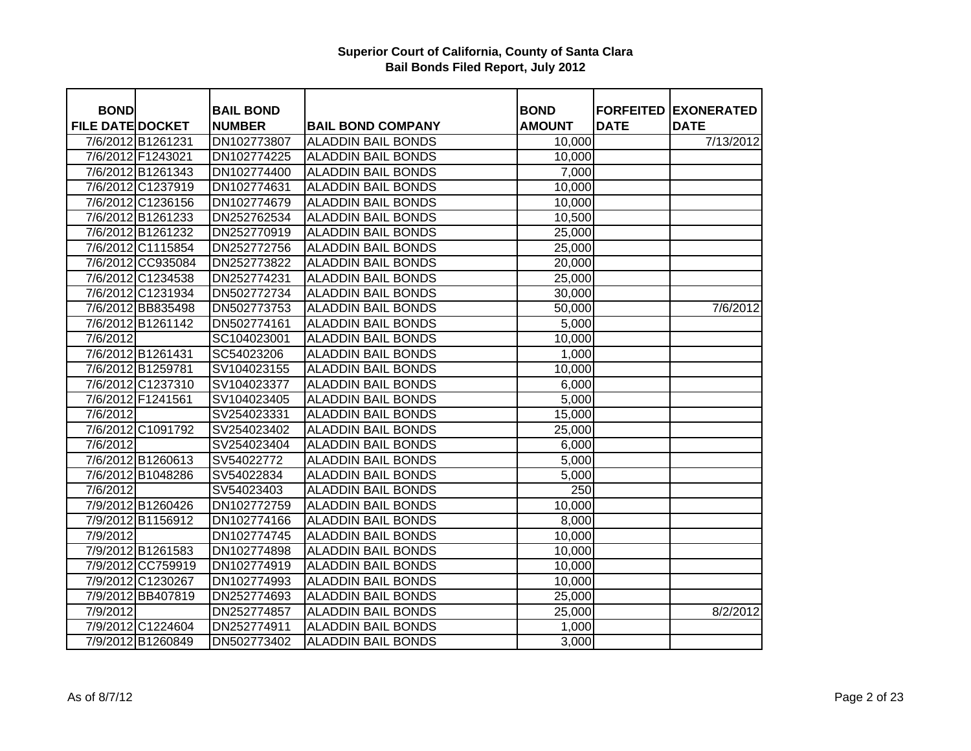| <b>BOND</b>             |                   | <b>BAIL BOND</b> |                           | <b>BOND</b>   |             | <b>FORFEITED EXONERATED</b> |
|-------------------------|-------------------|------------------|---------------------------|---------------|-------------|-----------------------------|
| <b>FILE DATE DOCKET</b> |                   | <b>NUMBER</b>    | <b>BAIL BOND COMPANY</b>  | <b>AMOUNT</b> | <b>DATE</b> | <b>DATE</b>                 |
|                         | 7/6/2012 B1261231 | DN102773807      | <b>ALADDIN BAIL BONDS</b> | 10,000        |             | 7/13/2012                   |
|                         | 7/6/2012 F1243021 | DN102774225      | <b>ALADDIN BAIL BONDS</b> | 10,000        |             |                             |
|                         | 7/6/2012 B1261343 | DN102774400      | <b>ALADDIN BAIL BONDS</b> | 7,000         |             |                             |
|                         | 7/6/2012 C1237919 | DN102774631      | <b>ALADDIN BAIL BONDS</b> | 10,000        |             |                             |
|                         | 7/6/2012 C1236156 | DN102774679      | <b>ALADDIN BAIL BONDS</b> | 10,000        |             |                             |
|                         | 7/6/2012 B1261233 | DN252762534      | <b>ALADDIN BAIL BONDS</b> | 10,500        |             |                             |
|                         | 7/6/2012 B1261232 | DN252770919      | <b>ALADDIN BAIL BONDS</b> | 25,000        |             |                             |
|                         | 7/6/2012 C1115854 | DN252772756      | <b>ALADDIN BAIL BONDS</b> | 25,000        |             |                             |
|                         | 7/6/2012 CC935084 | DN252773822      | <b>ALADDIN BAIL BONDS</b> | 20,000        |             |                             |
|                         | 7/6/2012 C1234538 | DN252774231      | <b>ALADDIN BAIL BONDS</b> | 25,000        |             |                             |
|                         | 7/6/2012 C1231934 | DN502772734      | <b>ALADDIN BAIL BONDS</b> | 30,000        |             |                             |
|                         | 7/6/2012 BB835498 | DN502773753      | <b>ALADDIN BAIL BONDS</b> | 50,000        |             | 7/6/2012                    |
|                         | 7/6/2012 B1261142 | DN502774161      | <b>ALADDIN BAIL BONDS</b> | 5,000         |             |                             |
| 7/6/2012                |                   | SC104023001      | <b>ALADDIN BAIL BONDS</b> | 10,000        |             |                             |
|                         | 7/6/2012 B1261431 | SC54023206       | <b>ALADDIN BAIL BONDS</b> | 1,000         |             |                             |
|                         | 7/6/2012 B1259781 | SV104023155      | <b>ALADDIN BAIL BONDS</b> | 10,000        |             |                             |
|                         | 7/6/2012 C1237310 | SV104023377      | <b>ALADDIN BAIL BONDS</b> | 6,000         |             |                             |
|                         | 7/6/2012 F1241561 | SV104023405      | <b>ALADDIN BAIL BONDS</b> | 5,000         |             |                             |
| 7/6/2012                |                   | SV254023331      | <b>ALADDIN BAIL BONDS</b> | 15,000        |             |                             |
|                         | 7/6/2012 C1091792 | SV254023402      | <b>ALADDIN BAIL BONDS</b> | 25,000        |             |                             |
| 7/6/2012                |                   | SV254023404      | <b>ALADDIN BAIL BONDS</b> | 6,000         |             |                             |
|                         | 7/6/2012 B1260613 | SV54022772       | <b>ALADDIN BAIL BONDS</b> | 5,000         |             |                             |
|                         | 7/6/2012 B1048286 | SV54022834       | <b>ALADDIN BAIL BONDS</b> | 5,000         |             |                             |
| 7/6/2012                |                   | SV54023403       | <b>ALADDIN BAIL BONDS</b> | 250           |             |                             |
|                         | 7/9/2012 B1260426 | DN102772759      | <b>ALADDIN BAIL BONDS</b> | 10,000        |             |                             |
|                         | 7/9/2012 B1156912 | DN102774166      | <b>ALADDIN BAIL BONDS</b> | 8,000         |             |                             |
| 7/9/2012                |                   | DN102774745      | <b>ALADDIN BAIL BONDS</b> | 10,000        |             |                             |
|                         | 7/9/2012 B1261583 | DN102774898      | <b>ALADDIN BAIL BONDS</b> | 10,000        |             |                             |
|                         | 7/9/2012 CC759919 | DN102774919      | <b>ALADDIN BAIL BONDS</b> | 10,000        |             |                             |
|                         | 7/9/2012 C1230267 | DN102774993      | <b>ALADDIN BAIL BONDS</b> | 10,000        |             |                             |
|                         | 7/9/2012 BB407819 | DN252774693      | <b>ALADDIN BAIL BONDS</b> | 25,000        |             |                             |
| 7/9/2012                |                   | DN252774857      | <b>ALADDIN BAIL BONDS</b> | 25,000        |             | 8/2/2012                    |
|                         | 7/9/2012 C1224604 | DN252774911      | <b>ALADDIN BAIL BONDS</b> | 1,000         |             |                             |
|                         | 7/9/2012 B1260849 | DN502773402      | <b>ALADDIN BAIL BONDS</b> | 3,000         |             |                             |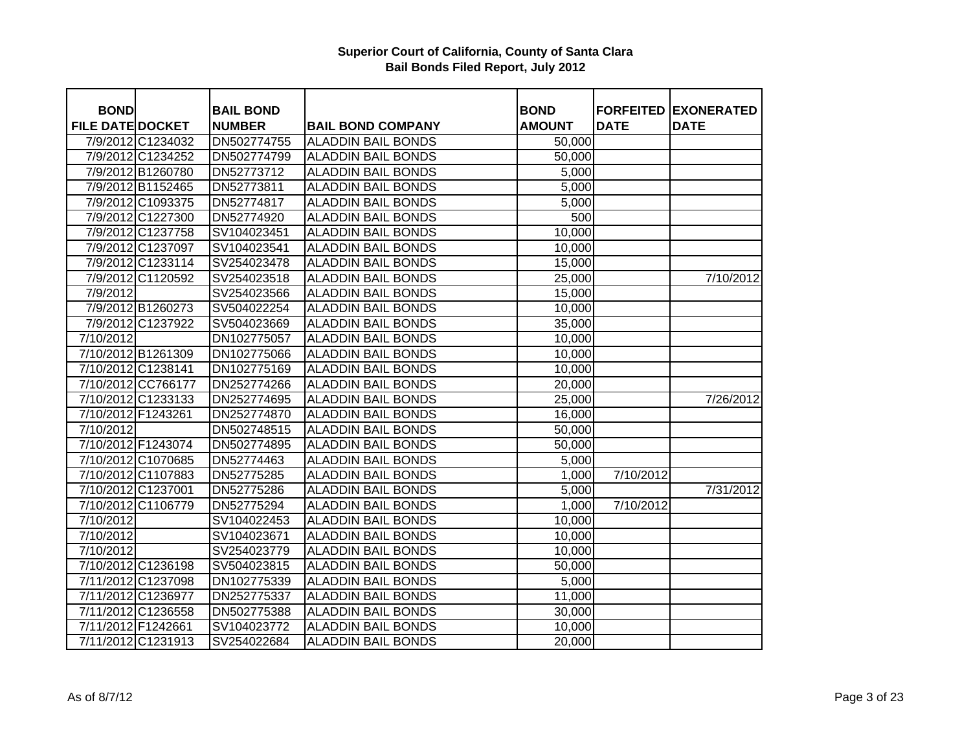| <b>BOND</b>             |                    | <b>BAIL BOND</b> |                           | <b>BOND</b>   | <b>FORFEITED</b> | <b>EXONERATED</b> |
|-------------------------|--------------------|------------------|---------------------------|---------------|------------------|-------------------|
| <b>FILE DATE DOCKET</b> |                    | <b>NUMBER</b>    | <b>BAIL BOND COMPANY</b>  | <b>AMOUNT</b> | <b>DATE</b>      | <b>DATE</b>       |
|                         | 7/9/2012 C1234032  | DN502774755      | <b>ALADDIN BAIL BONDS</b> | 50,000        |                  |                   |
|                         | 7/9/2012 C1234252  | DN502774799      | <b>ALADDIN BAIL BONDS</b> | 50,000        |                  |                   |
|                         | 7/9/2012 B1260780  | DN52773712       | <b>ALADDIN BAIL BONDS</b> | 5,000         |                  |                   |
|                         | 7/9/2012 B1152465  | DN52773811       | <b>ALADDIN BAIL BONDS</b> | 5,000         |                  |                   |
|                         | 7/9/2012 C1093375  | DN52774817       | <b>ALADDIN BAIL BONDS</b> | 5,000         |                  |                   |
|                         | 7/9/2012 C1227300  | DN52774920       | <b>ALADDIN BAIL BONDS</b> | 500           |                  |                   |
|                         | 7/9/2012 C1237758  | SV104023451      | <b>ALADDIN BAIL BONDS</b> | 10,000        |                  |                   |
|                         | 7/9/2012 C1237097  | SV104023541      | <b>ALADDIN BAIL BONDS</b> | 10,000        |                  |                   |
|                         | 7/9/2012 C1233114  | SV254023478      | <b>ALADDIN BAIL BONDS</b> | 15,000        |                  |                   |
|                         | 7/9/2012 C1120592  | SV254023518      | <b>ALADDIN BAIL BONDS</b> | 25,000        |                  | 7/10/2012         |
| 7/9/2012                |                    | SV254023566      | <b>ALADDIN BAIL BONDS</b> | 15,000        |                  |                   |
|                         | 7/9/2012 B1260273  | SV504022254      | <b>ALADDIN BAIL BONDS</b> | 10,000        |                  |                   |
|                         | 7/9/2012 C1237922  | SV504023669      | <b>ALADDIN BAIL BONDS</b> | 35,000        |                  |                   |
| 7/10/2012               |                    | DN102775057      | <b>ALADDIN BAIL BONDS</b> | 10,000        |                  |                   |
|                         | 7/10/2012 B1261309 | DN102775066      | <b>ALADDIN BAIL BONDS</b> | 10,000        |                  |                   |
|                         | 7/10/2012 C1238141 | DN102775169      | <b>ALADDIN BAIL BONDS</b> | 10,000        |                  |                   |
|                         | 7/10/2012 CC766177 | DN252774266      | <b>ALADDIN BAIL BONDS</b> | 20,000        |                  |                   |
|                         | 7/10/2012 C1233133 | DN252774695      | <b>ALADDIN BAIL BONDS</b> | 25,000        |                  | 7/26/2012         |
| 7/10/2012 F1243261      |                    | DN252774870      | <b>ALADDIN BAIL BONDS</b> | 16,000        |                  |                   |
| 7/10/2012               |                    | DN502748515      | <b>ALADDIN BAIL BONDS</b> | 50,000        |                  |                   |
|                         | 7/10/2012 F1243074 | DN502774895      | <b>ALADDIN BAIL BONDS</b> | 50,000        |                  |                   |
|                         | 7/10/2012 C1070685 | DN52774463       | <b>ALADDIN BAIL BONDS</b> | 5,000         |                  |                   |
|                         | 7/10/2012 C1107883 | DN52775285       | <b>ALADDIN BAIL BONDS</b> | 1,000         | 7/10/2012        |                   |
|                         | 7/10/2012 C1237001 | DN52775286       | <b>ALADDIN BAIL BONDS</b> | 5,000         |                  | 7/31/2012         |
|                         | 7/10/2012 C1106779 | DN52775294       | <b>ALADDIN BAIL BONDS</b> | 1,000         | 7/10/2012        |                   |
| 7/10/2012               |                    | SV104022453      | <b>ALADDIN BAIL BONDS</b> | 10,000        |                  |                   |
| 7/10/2012               |                    | SV104023671      | <b>ALADDIN BAIL BONDS</b> | 10,000        |                  |                   |
| 7/10/2012               |                    | SV254023779      | <b>ALADDIN BAIL BONDS</b> | 10,000        |                  |                   |
|                         | 7/10/2012 C1236198 | SV504023815      | <b>ALADDIN BAIL BONDS</b> | 50,000        |                  |                   |
|                         | 7/11/2012 C1237098 | DN102775339      | <b>ALADDIN BAIL BONDS</b> | 5,000         |                  |                   |
|                         | 7/11/2012 C1236977 | DN252775337      | <b>ALADDIN BAIL BONDS</b> | 11,000        |                  |                   |
|                         | 7/11/2012 C1236558 | DN502775388      | <b>ALADDIN BAIL BONDS</b> | 30,000        |                  |                   |
| 7/11/2012 F1242661      |                    | SV104023772      | <b>ALADDIN BAIL BONDS</b> | 10,000        |                  |                   |
|                         | 7/11/2012 C1231913 | SV254022684      | <b>ALADDIN BAIL BONDS</b> | 20,000        |                  |                   |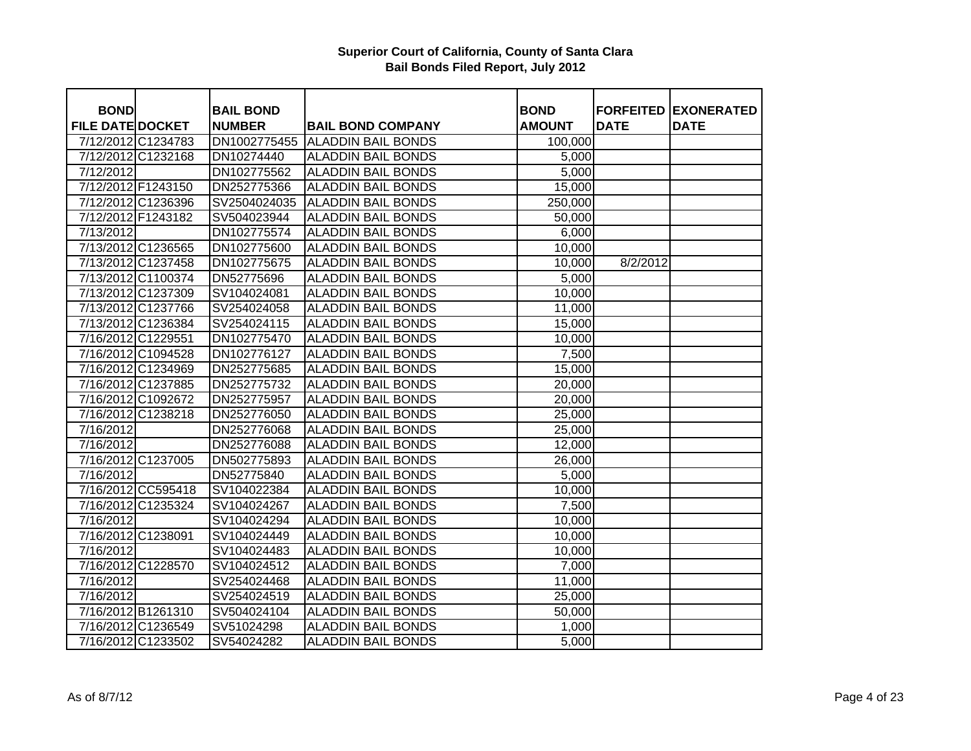| <b>BOND</b>             |                    | <b>BAIL BOND</b> |                                 | <b>BOND</b>   |             | <b>FORFEITED EXONERATED</b> |
|-------------------------|--------------------|------------------|---------------------------------|---------------|-------------|-----------------------------|
| <b>FILE DATE DOCKET</b> |                    | <b>NUMBER</b>    | <b>BAIL BOND COMPANY</b>        | <b>AMOUNT</b> | <b>DATE</b> | <b>DATE</b>                 |
| 7/12/2012 C1234783      |                    |                  | DN1002775455 ALADDIN BAIL BONDS | 100,000       |             |                             |
| 7/12/2012 C1232168      |                    | DN10274440       | <b>ALADDIN BAIL BONDS</b>       | 5,000         |             |                             |
| 7/12/2012               |                    | DN102775562      | <b>ALADDIN BAIL BONDS</b>       | 5,000         |             |                             |
| 7/12/2012 F1243150      |                    | DN252775366      | <b>ALADDIN BAIL BONDS</b>       | 15,000        |             |                             |
| 7/12/2012 C1236396      |                    | SV2504024035     | <b>ALADDIN BAIL BONDS</b>       | 250,000       |             |                             |
| 7/12/2012 F1243182      |                    | SV504023944      | <b>ALADDIN BAIL BONDS</b>       | 50,000        |             |                             |
| 7/13/2012               |                    | DN102775574      | <b>ALADDIN BAIL BONDS</b>       | 6,000         |             |                             |
| 7/13/2012 C1236565      |                    | DN102775600      | <b>ALADDIN BAIL BONDS</b>       | 10,000        |             |                             |
| 7/13/2012 C1237458      |                    | DN102775675      | <b>ALADDIN BAIL BONDS</b>       | 10,000        | 8/2/2012    |                             |
|                         | 7/13/2012 C1100374 | DN52775696       | <b>ALADDIN BAIL BONDS</b>       | 5,000         |             |                             |
| 7/13/2012 C1237309      |                    | SV104024081      | <b>ALADDIN BAIL BONDS</b>       | 10,000        |             |                             |
| 7/13/2012 C1237766      |                    | SV254024058      | <b>ALADDIN BAIL BONDS</b>       | 11,000        |             |                             |
| 7/13/2012 C1236384      |                    | SV254024115      | <b>ALADDIN BAIL BONDS</b>       | 15,000        |             |                             |
| 7/16/2012 C1229551      |                    | DN102775470      | <b>ALADDIN BAIL BONDS</b>       | 10,000        |             |                             |
| 7/16/2012 C1094528      |                    | DN102776127      | <b>ALADDIN BAIL BONDS</b>       | 7,500         |             |                             |
| 7/16/2012 C1234969      |                    | DN252775685      | <b>ALADDIN BAIL BONDS</b>       | 15,000        |             |                             |
| 7/16/2012 C1237885      |                    | DN252775732      | <b>ALADDIN BAIL BONDS</b>       | 20,000        |             |                             |
| 7/16/2012 C1092672      |                    | DN252775957      | <b>ALADDIN BAIL BONDS</b>       | 20,000        |             |                             |
| 7/16/2012 C1238218      |                    | DN252776050      | <b>ALADDIN BAIL BONDS</b>       | 25,000        |             |                             |
| 7/16/2012               |                    | DN252776068      | <b>ALADDIN BAIL BONDS</b>       | 25,000        |             |                             |
| 7/16/2012               |                    | DN252776088      | <b>ALADDIN BAIL BONDS</b>       | 12,000        |             |                             |
| 7/16/2012 C1237005      |                    | DN502775893      | <b>ALADDIN BAIL BONDS</b>       | 26,000        |             |                             |
| 7/16/2012               |                    | DN52775840       | <b>ALADDIN BAIL BONDS</b>       | 5,000         |             |                             |
|                         | 7/16/2012 CC595418 | SV104022384      | <b>ALADDIN BAIL BONDS</b>       | 10,000        |             |                             |
| 7/16/2012 C1235324      |                    | SV104024267      | <b>ALADDIN BAIL BONDS</b>       | 7,500         |             |                             |
| 7/16/2012               |                    | SV104024294      | <b>ALADDIN BAIL BONDS</b>       | 10,000        |             |                             |
| 7/16/2012 C1238091      |                    | SV104024449      | <b>ALADDIN BAIL BONDS</b>       | 10,000        |             |                             |
| 7/16/2012               |                    | SV104024483      | <b>ALADDIN BAIL BONDS</b>       | 10,000        |             |                             |
| 7/16/2012 C1228570      |                    | SV104024512      | <b>ALADDIN BAIL BONDS</b>       | 7,000         |             |                             |
| 7/16/2012               |                    | SV254024468      | <b>ALADDIN BAIL BONDS</b>       | 11,000        |             |                             |
| $\frac{1}{7}$ 16/2012   |                    | SV254024519      | <b>ALADDIN BAIL BONDS</b>       | 25,000        |             |                             |
| 7/16/2012 B1261310      |                    | SV504024104      | <b>ALADDIN BAIL BONDS</b>       | 50,000        |             |                             |
| 7/16/2012 C1236549      |                    | SV51024298       | <b>ALADDIN BAIL BONDS</b>       | 1,000         |             |                             |
| 7/16/2012 C1233502      |                    | SV54024282       | <b>ALADDIN BAIL BONDS</b>       | 5,000         |             |                             |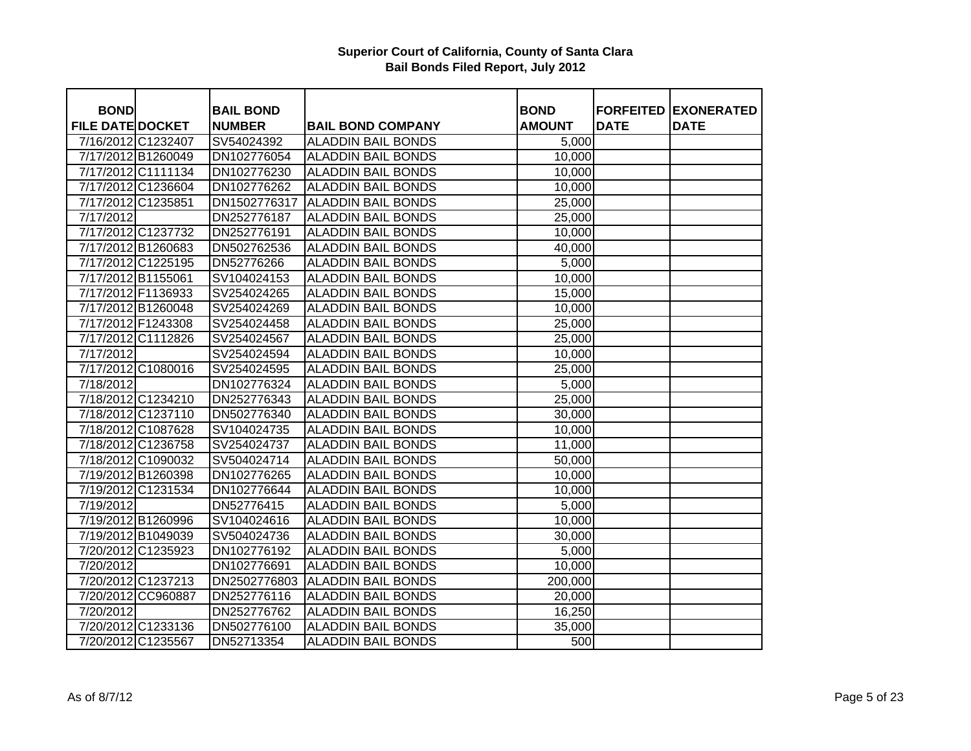| <b>BOND</b>             |                    | <b>BAIL BOND</b> |                           | <b>BOND</b>   | <b>FORFEITED</b> | <b>IEXONERATED</b> |
|-------------------------|--------------------|------------------|---------------------------|---------------|------------------|--------------------|
| <b>FILE DATE DOCKET</b> |                    | <b>NUMBER</b>    | <b>BAIL BOND COMPANY</b>  | <b>AMOUNT</b> | <b>DATE</b>      | <b>DATE</b>        |
| 7/16/2012 C1232407      |                    | SV54024392       | <b>ALADDIN BAIL BONDS</b> | 5,000         |                  |                    |
| 7/17/2012 B1260049      |                    | DN102776054      | <b>ALADDIN BAIL BONDS</b> | 10,000        |                  |                    |
| 7/17/2012 C1111134      |                    | DN102776230      | <b>ALADDIN BAIL BONDS</b> | 10,000        |                  |                    |
| 7/17/2012 C1236604      |                    | DN102776262      | <b>ALADDIN BAIL BONDS</b> | 10,000        |                  |                    |
| 7/17/2012 C1235851      |                    | DN1502776317     | <b>ALADDIN BAIL BONDS</b> | 25,000        |                  |                    |
| 7/17/2012               |                    | DN252776187      | <b>ALADDIN BAIL BONDS</b> | 25,000        |                  |                    |
| 7/17/2012 C1237732      |                    | DN252776191      | <b>ALADDIN BAIL BONDS</b> | 10,000        |                  |                    |
| 7/17/2012 B1260683      |                    | DN502762536      | <b>ALADDIN BAIL BONDS</b> | 40,000        |                  |                    |
| 7/17/2012 C1225195      |                    | DN52776266       | <b>ALADDIN BAIL BONDS</b> | 5,000         |                  |                    |
| 7/17/2012 B1155061      |                    | SV104024153      | <b>ALADDIN BAIL BONDS</b> | 10,000        |                  |                    |
| 7/17/2012 F1136933      |                    | SV254024265      | <b>ALADDIN BAIL BONDS</b> | 15,000        |                  |                    |
| 7/17/2012 B1260048      |                    | SV254024269      | <b>ALADDIN BAIL BONDS</b> | 10,000        |                  |                    |
| 7/17/2012 F1243308      |                    | SV254024458      | <b>ALADDIN BAIL BONDS</b> | 25,000        |                  |                    |
| 7/17/2012 C1112826      |                    | SV254024567      | <b>ALADDIN BAIL BONDS</b> | 25,000        |                  |                    |
| 7/17/2012               |                    | SV254024594      | <b>ALADDIN BAIL BONDS</b> | 10,000        |                  |                    |
| 7/17/2012 C1080016      |                    | SV254024595      | <b>ALADDIN BAIL BONDS</b> | 25,000        |                  |                    |
| 7/18/2012               |                    | DN102776324      | <b>ALADDIN BAIL BONDS</b> | 5,000         |                  |                    |
| 7/18/2012 C1234210      |                    | DN252776343      | <b>ALADDIN BAIL BONDS</b> | 25,000        |                  |                    |
| 7/18/2012 C1237110      |                    | DN502776340      | <b>ALADDIN BAIL BONDS</b> | 30,000        |                  |                    |
| 7/18/2012 C1087628      |                    | SV104024735      | <b>ALADDIN BAIL BONDS</b> | 10,000        |                  |                    |
| 7/18/2012 C1236758      |                    | SV254024737      | <b>ALADDIN BAIL BONDS</b> | 11,000        |                  |                    |
| 7/18/2012 C1090032      |                    | SV504024714      | <b>ALADDIN BAIL BONDS</b> | 50,000        |                  |                    |
| 7/19/2012 B1260398      |                    | DN102776265      | <b>ALADDIN BAIL BONDS</b> | 10,000        |                  |                    |
| 7/19/2012 C1231534      |                    | DN102776644      | <b>ALADDIN BAIL BONDS</b> | 10,000        |                  |                    |
| 7/19/2012               |                    | DN52776415       | <b>ALADDIN BAIL BONDS</b> | 5,000         |                  |                    |
| 7/19/2012 B1260996      |                    | SV104024616      | <b>ALADDIN BAIL BONDS</b> | 10,000        |                  |                    |
| 7/19/2012 B1049039      |                    | SV504024736      | <b>ALADDIN BAIL BONDS</b> | 30,000        |                  |                    |
| 7/20/2012 C1235923      |                    | DN102776192      | <b>ALADDIN BAIL BONDS</b> | 5,000         |                  |                    |
| 7/20/2012               |                    | DN102776691      | <b>ALADDIN BAIL BONDS</b> | 10,000        |                  |                    |
| 7/20/2012 C1237213      |                    | DN2502776803     | <b>ALADDIN BAIL BONDS</b> | 200,000       |                  |                    |
|                         | 7/20/2012 CC960887 | DN252776116      | <b>ALADDIN BAIL BONDS</b> | 20,000        |                  |                    |
| 7/20/2012               |                    | DN252776762      | <b>ALADDIN BAIL BONDS</b> | 16,250        |                  |                    |
| 7/20/2012 C1233136      |                    | DN502776100      | <b>ALADDIN BAIL BONDS</b> | 35,000        |                  |                    |
| 7/20/2012 C1235567      |                    | DN52713354       | <b>ALADDIN BAIL BONDS</b> | 500           |                  |                    |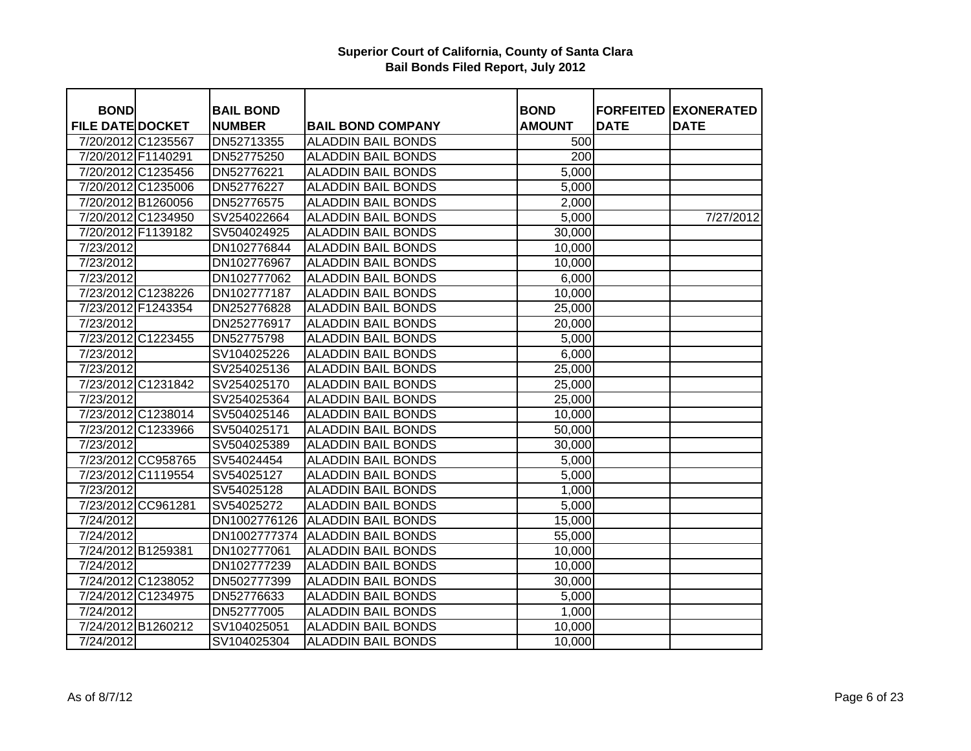| <b>BOND</b>             |                    | <b>BAIL BOND</b> |                           | <b>BOND</b>      |             | <b>FORFEITED EXONERATED</b> |
|-------------------------|--------------------|------------------|---------------------------|------------------|-------------|-----------------------------|
| <b>FILE DATE DOCKET</b> |                    | <b>NUMBER</b>    | <b>BAIL BOND COMPANY</b>  | <b>AMOUNT</b>    | <b>DATE</b> | <b>DATE</b>                 |
| 7/20/2012 C1235567      |                    | DN52713355       | <b>ALADDIN BAIL BONDS</b> | 500              |             |                             |
| 7/20/2012 F1140291      |                    | DN52775250       | <b>ALADDIN BAIL BONDS</b> | $\overline{200}$ |             |                             |
| 7/20/2012 C1235456      |                    | DN52776221       | <b>ALADDIN BAIL BONDS</b> | 5,000            |             |                             |
| 7/20/2012 C1235006      |                    | DN52776227       | <b>ALADDIN BAIL BONDS</b> | 5,000            |             |                             |
| 7/20/2012 B1260056      |                    | DN52776575       | <b>ALADDIN BAIL BONDS</b> | 2,000            |             |                             |
| 7/20/2012 C1234950      |                    | SV254022664      | <b>ALADDIN BAIL BONDS</b> | 5,000            |             | 7/27/2012                   |
| 7/20/2012 F1139182      |                    | SV504024925      | <b>ALADDIN BAIL BONDS</b> | 30,000           |             |                             |
| 7/23/2012               |                    | DN102776844      | <b>ALADDIN BAIL BONDS</b> | 10,000           |             |                             |
| 7/23/2012               |                    | DN102776967      | <b>ALADDIN BAIL BONDS</b> | 10,000           |             |                             |
| 7/23/2012               |                    | DN102777062      | <b>ALADDIN BAIL BONDS</b> | 6,000            |             |                             |
| 7/23/2012 C1238226      |                    | DN102777187      | <b>ALADDIN BAIL BONDS</b> | 10,000           |             |                             |
| 7/23/2012 F1243354      |                    | DN252776828      | <b>ALADDIN BAIL BONDS</b> | 25,000           |             |                             |
| 7/23/2012               |                    | DN252776917      | <b>ALADDIN BAIL BONDS</b> | 20,000           |             |                             |
| 7/23/2012 C1223455      |                    | DN52775798       | <b>ALADDIN BAIL BONDS</b> | 5,000            |             |                             |
| 7/23/2012               |                    | SV104025226      | <b>ALADDIN BAIL BONDS</b> | 6,000            |             |                             |
| 7/23/2012               |                    | SV254025136      | <b>ALADDIN BAIL BONDS</b> | 25,000           |             |                             |
| 7/23/2012 C1231842      |                    | SV254025170      | <b>ALADDIN BAIL BONDS</b> | 25,000           |             |                             |
| 7/23/2012               |                    | SV254025364      | <b>ALADDIN BAIL BONDS</b> | 25,000           |             |                             |
|                         | 7/23/2012 C1238014 | SV504025146      | <b>ALADDIN BAIL BONDS</b> | 10,000           |             |                             |
| 7/23/2012 C1233966      |                    | SV504025171      | <b>ALADDIN BAIL BONDS</b> | 50,000           |             |                             |
| 7/23/2012               |                    | SV504025389      | <b>ALADDIN BAIL BONDS</b> | 30,000           |             |                             |
|                         | 7/23/2012 CC958765 | SV54024454       | <b>ALADDIN BAIL BONDS</b> | 5,000            |             |                             |
|                         | 7/23/2012 C1119554 | SV54025127       | <b>ALADDIN BAIL BONDS</b> | 5,000            |             |                             |
| 7/23/2012               |                    | SV54025128       | <b>ALADDIN BAIL BONDS</b> | 1,000            |             |                             |
|                         | 7/23/2012 CC961281 | SV54025272       | <b>ALADDIN BAIL BONDS</b> | 5,000            |             |                             |
| 7/24/2012               |                    | DN1002776126     | <b>ALADDIN BAIL BONDS</b> | 15,000           |             |                             |
| 7/24/2012               |                    | DN1002777374     | <b>ALADDIN BAIL BONDS</b> | 55,000           |             |                             |
| 7/24/2012 B1259381      |                    | DN102777061      | <b>ALADDIN BAIL BONDS</b> | 10,000           |             |                             |
| 7/24/2012               |                    | DN102777239      | <b>ALADDIN BAIL BONDS</b> | 10,000           |             |                             |
| 7/24/2012 C1238052      |                    | DN502777399      | <b>ALADDIN BAIL BONDS</b> | 30,000           |             |                             |
| 7/24/2012 C1234975      |                    | DN52776633       | <b>ALADDIN BAIL BONDS</b> | 5,000            |             |                             |
| 7/24/2012               |                    | DN52777005       | <b>ALADDIN BAIL BONDS</b> | 1,000            |             |                             |
| 7/24/2012 B1260212      |                    | SV104025051      | <b>ALADDIN BAIL BONDS</b> | 10,000           |             |                             |
| 7/24/2012               |                    | SV104025304      | <b>ALADDIN BAIL BONDS</b> | 10,000           |             |                             |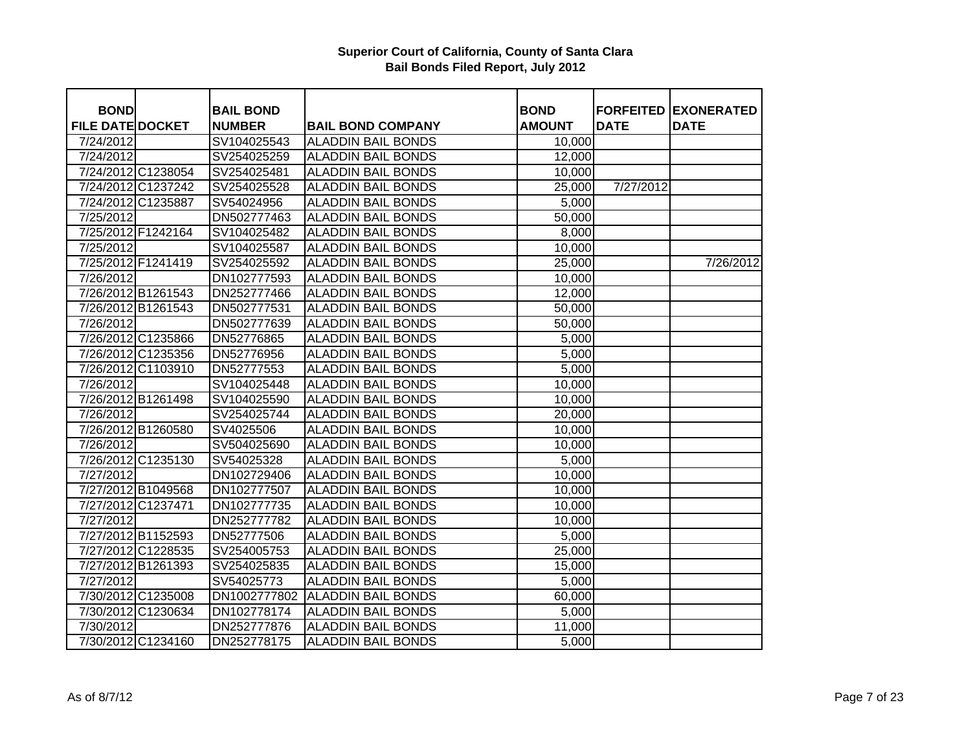| <b>BOND</b>             |                    | <b>BAIL BOND</b> |                           | <b>BOND</b>   |             | <b>FORFEITED EXONERATED</b> |
|-------------------------|--------------------|------------------|---------------------------|---------------|-------------|-----------------------------|
| <b>FILE DATE DOCKET</b> |                    | <b>NUMBER</b>    | <b>BAIL BOND COMPANY</b>  | <b>AMOUNT</b> | <b>DATE</b> | <b>DATE</b>                 |
| 7/24/2012               |                    | SV104025543      | <b>ALADDIN BAIL BONDS</b> | 10,000        |             |                             |
| 7/24/2012               |                    | SV254025259      | <b>ALADDIN BAIL BONDS</b> | 12,000        |             |                             |
|                         | 7/24/2012 C1238054 | SV254025481      | <b>ALADDIN BAIL BONDS</b> | 10,000        |             |                             |
|                         | 7/24/2012 C1237242 | SV254025528      | <b>ALADDIN BAIL BONDS</b> | 25,000        | 7/27/2012   |                             |
| 7/24/2012 C1235887      |                    | SV54024956       | <b>ALADDIN BAIL BONDS</b> | 5,000         |             |                             |
| 7/25/2012               |                    | DN502777463      | <b>ALADDIN BAIL BONDS</b> | 50,000        |             |                             |
| 7/25/2012 F1242164      |                    | SV104025482      | <b>ALADDIN BAIL BONDS</b> | 8,000         |             |                             |
| 7/25/2012               |                    | SV104025587      | <b>ALADDIN BAIL BONDS</b> | 10,000        |             |                             |
| 7/25/2012 F1241419      |                    | SV254025592      | <b>ALADDIN BAIL BONDS</b> | 25,000        |             | 7/26/2012                   |
| 7/26/2012               |                    | DN102777593      | <b>ALADDIN BAIL BONDS</b> | 10,000        |             |                             |
| 7/26/2012 B1261543      |                    | DN252777466      | <b>ALADDIN BAIL BONDS</b> | 12,000        |             |                             |
| 7/26/2012 B1261543      |                    | DN502777531      | <b>ALADDIN BAIL BONDS</b> | 50,000        |             |                             |
| 7/26/2012               |                    | DN502777639      | <b>ALADDIN BAIL BONDS</b> | 50,000        |             |                             |
| 7/26/2012 C1235866      |                    | DN52776865       | <b>ALADDIN BAIL BONDS</b> | 5,000         |             |                             |
| 7/26/2012 C1235356      |                    | DN52776956       | <b>ALADDIN BAIL BONDS</b> | 5,000         |             |                             |
| 7/26/2012 C1103910      |                    | DN52777553       | <b>ALADDIN BAIL BONDS</b> | 5,000         |             |                             |
| 7/26/2012               |                    | SV104025448      | <b>ALADDIN BAIL BONDS</b> | 10,000        |             |                             |
|                         | 7/26/2012 B1261498 | SV104025590      | <b>ALADDIN BAIL BONDS</b> | 10,000        |             |                             |
| 7/26/2012               |                    | SV254025744      | <b>ALADDIN BAIL BONDS</b> | 20,000        |             |                             |
|                         | 7/26/2012 B1260580 | SV4025506        | <b>ALADDIN BAIL BONDS</b> | 10,000        |             |                             |
| 7/26/2012               |                    | SV504025690      | <b>ALADDIN BAIL BONDS</b> | 10,000        |             |                             |
|                         | 7/26/2012 C1235130 | SV54025328       | <b>ALADDIN BAIL BONDS</b> | 5,000         |             |                             |
| 7/27/2012               |                    | DN102729406      | <b>ALADDIN BAIL BONDS</b> | 10,000        |             |                             |
| 7/27/2012 B1049568      |                    | DN102777507      | <b>ALADDIN BAIL BONDS</b> | 10,000        |             |                             |
| 7/27/2012 C1237471      |                    | DN102777735      | <b>ALADDIN BAIL BONDS</b> | 10,000        |             |                             |
| 7/27/2012               |                    | DN252777782      | <b>ALADDIN BAIL BONDS</b> | 10,000        |             |                             |
| 7/27/2012 B1152593      |                    | DN52777506       | <b>ALADDIN BAIL BONDS</b> | 5,000         |             |                             |
| 7/27/2012 C1228535      |                    | SV254005753      | <b>ALADDIN BAIL BONDS</b> | 25,000        |             |                             |
| 7/27/2012 B1261393      |                    | SV254025835      | <b>ALADDIN BAIL BONDS</b> | 15,000        |             |                             |
| 7/27/2012               |                    | SV54025773       | <b>ALADDIN BAIL BONDS</b> | 5,000         |             |                             |
| 7/30/2012 C1235008      |                    | DN1002777802     | <b>ALADDIN BAIL BONDS</b> | 60,000        |             |                             |
|                         | 7/30/2012 C1230634 | DN102778174      | <b>ALADDIN BAIL BONDS</b> | 5,000         |             |                             |
| 7/30/2012               |                    | DN252777876      | <b>ALADDIN BAIL BONDS</b> | 11,000        |             |                             |
|                         | 7/30/2012 C1234160 | DN252778175      | <b>ALADDIN BAIL BONDS</b> | 5,000         |             |                             |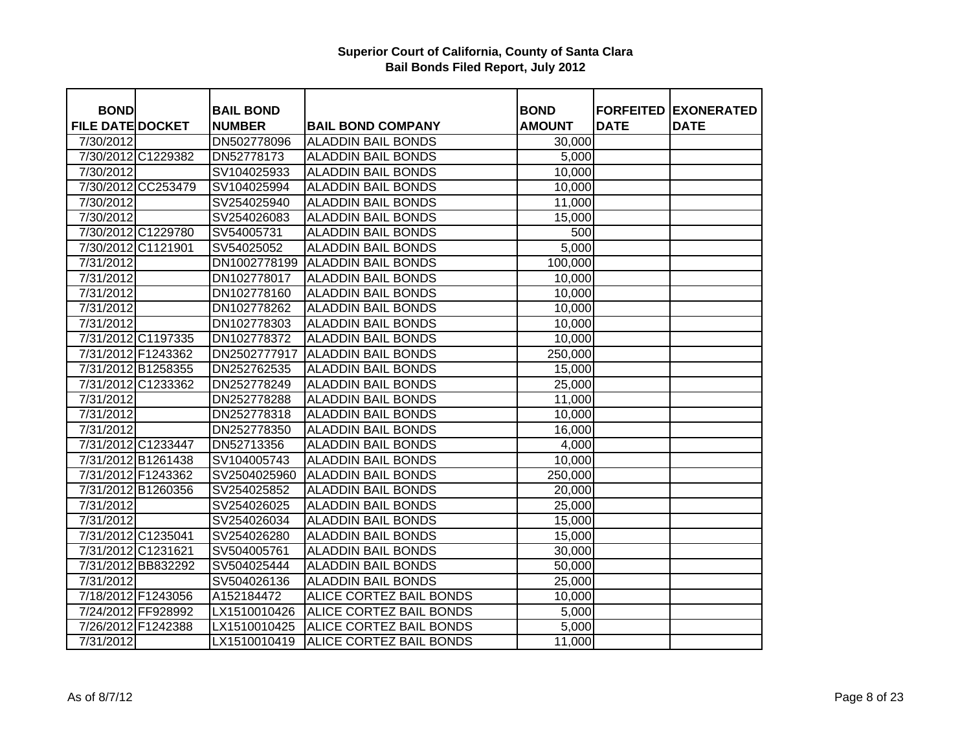| <b>BOND</b>             |                    | <b>BAIL BOND</b> |                           | <b>BOND</b>   | <b>FORFEITED</b> | <b>EXONERATED</b> |
|-------------------------|--------------------|------------------|---------------------------|---------------|------------------|-------------------|
| <b>FILE DATE DOCKET</b> |                    | <b>NUMBER</b>    | <b>BAIL BOND COMPANY</b>  | <b>AMOUNT</b> | <b>DATE</b>      | <b>DATE</b>       |
| 7/30/2012               |                    | DN502778096      | <b>ALADDIN BAIL BONDS</b> | 30,000        |                  |                   |
|                         | 7/30/2012 C1229382 | DN52778173       | <b>ALADDIN BAIL BONDS</b> | 5,000         |                  |                   |
| 7/30/2012               |                    | SV104025933      | <b>ALADDIN BAIL BONDS</b> | 10,000        |                  |                   |
|                         | 7/30/2012 CC253479 | SV104025994      | <b>ALADDIN BAIL BONDS</b> | 10,000        |                  |                   |
| 7/30/2012               |                    | SV254025940      | <b>ALADDIN BAIL BONDS</b> | 11,000        |                  |                   |
| 7/30/2012               |                    | SV254026083      | <b>ALADDIN BAIL BONDS</b> | 15,000        |                  |                   |
|                         | 7/30/2012 C1229780 | SV54005731       | <b>ALADDIN BAIL BONDS</b> | 500           |                  |                   |
|                         | 7/30/2012 C1121901 | SV54025052       | <b>ALADDIN BAIL BONDS</b> | 5,000         |                  |                   |
| 7/31/2012               |                    | DN1002778199     | <b>ALADDIN BAIL BONDS</b> | 100,000       |                  |                   |
| 7/31/2012               |                    | DN102778017      | <b>ALADDIN BAIL BONDS</b> | 10,000        |                  |                   |
| 7/31/2012               |                    | DN102778160      | <b>ALADDIN BAIL BONDS</b> | 10,000        |                  |                   |
| 7/31/2012               |                    | DN102778262      | <b>ALADDIN BAIL BONDS</b> | 10,000        |                  |                   |
| 7/31/2012               |                    | DN102778303      | <b>ALADDIN BAIL BONDS</b> | 10,000        |                  |                   |
|                         | 7/31/2012 C1197335 | DN102778372      | <b>ALADDIN BAIL BONDS</b> | 10,000        |                  |                   |
|                         | 7/31/2012 F1243362 | DN2502777917     | <b>ALADDIN BAIL BONDS</b> | 250,000       |                  |                   |
|                         | 7/31/2012 B1258355 | DN252762535      | <b>ALADDIN BAIL BONDS</b> | 15,000        |                  |                   |
|                         | 7/31/2012 C1233362 | DN252778249      | <b>ALADDIN BAIL BONDS</b> | 25,000        |                  |                   |
| 7/31/2012               |                    | DN252778288      | <b>ALADDIN BAIL BONDS</b> | 11,000        |                  |                   |
| 7/31/2012               |                    | DN252778318      | <b>ALADDIN BAIL BONDS</b> | 10,000        |                  |                   |
| 7/31/2012               |                    | DN252778350      | <b>ALADDIN BAIL BONDS</b> | 16,000        |                  |                   |
|                         | 7/31/2012 C1233447 | DN52713356       | <b>ALADDIN BAIL BONDS</b> | 4,000         |                  |                   |
|                         | 7/31/2012 B1261438 | SV104005743      | <b>ALADDIN BAIL BONDS</b> | 10,000        |                  |                   |
|                         | 7/31/2012 F1243362 | SV2504025960     | <b>ALADDIN BAIL BONDS</b> | 250,000       |                  |                   |
|                         | 7/31/2012 B1260356 | SV254025852      | <b>ALADDIN BAIL BONDS</b> | 20,000        |                  |                   |
| 7/31/2012               |                    | SV254026025      | <b>ALADDIN BAIL BONDS</b> | 25,000        |                  |                   |
| 7/31/2012               |                    | SV254026034      | <b>ALADDIN BAIL BONDS</b> | 15,000        |                  |                   |
|                         | 7/31/2012 C1235041 | SV254026280      | <b>ALADDIN BAIL BONDS</b> | 15,000        |                  |                   |
|                         | 7/31/2012 C1231621 | SV504005761      | <b>ALADDIN BAIL BONDS</b> | 30,000        |                  |                   |
|                         | 7/31/2012 BB832292 | SV504025444      | <b>ALADDIN BAIL BONDS</b> | 50,000        |                  |                   |
| 7/31/2012               |                    | SV504026136      | <b>ALADDIN BAIL BONDS</b> | 25,000        |                  |                   |
|                         | 7/18/2012 F1243056 | A152184472       | ALICE CORTEZ BAIL BONDS   | 10,000        |                  |                   |
|                         | 7/24/2012 FF928992 | LX1510010426     | ALICE CORTEZ BAIL BONDS   | 5,000         |                  |                   |
|                         | 7/26/2012 F1242388 | LX1510010425     | ALICE CORTEZ BAIL BONDS   | 5,000         |                  |                   |
| 7/31/2012               |                    | LX1510010419     | ALICE CORTEZ BAIL BONDS   | 11,000        |                  |                   |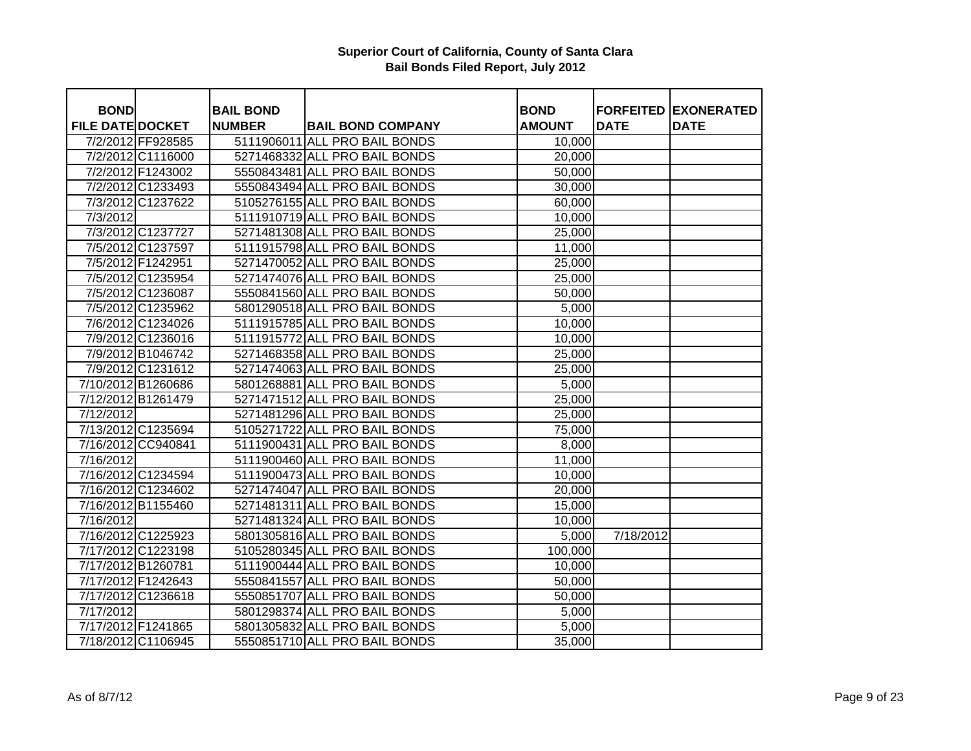| <b>BOND</b>             |                    | <b>BAIL BOND</b> |                               | <b>BOND</b>   |             | <b>FORFEITED EXONERATED</b> |
|-------------------------|--------------------|------------------|-------------------------------|---------------|-------------|-----------------------------|
| <b>FILE DATE DOCKET</b> |                    | <b>NUMBER</b>    | <b>BAIL BOND COMPANY</b>      | <b>AMOUNT</b> | <b>DATE</b> | <b>DATE</b>                 |
|                         | 7/2/2012 FF928585  |                  | 5111906011 ALL PRO BAIL BONDS | 10,000        |             |                             |
|                         | 7/2/2012 C1116000  |                  | 5271468332 ALL PRO BAIL BONDS | 20,000        |             |                             |
|                         | 7/2/2012 F1243002  |                  | 5550843481 ALL PRO BAIL BONDS | 50,000        |             |                             |
|                         | 7/2/2012 C1233493  |                  | 5550843494 ALL PRO BAIL BONDS | 30,000        |             |                             |
|                         | 7/3/2012 C1237622  |                  | 5105276155 ALL PRO BAIL BONDS | 60,000        |             |                             |
| 7/3/2012                |                    |                  | 5111910719 ALL PRO BAIL BONDS | 10,000        |             |                             |
|                         | 7/3/2012 C1237727  |                  | 5271481308 ALL PRO BAIL BONDS | 25,000        |             |                             |
|                         | 7/5/2012 C1237597  |                  | 5111915798 ALL PRO BAIL BONDS | 11,000        |             |                             |
|                         | 7/5/2012 F1242951  |                  | 5271470052 ALL PRO BAIL BONDS | 25,000        |             |                             |
|                         | 7/5/2012 C1235954  |                  | 5271474076 ALL PRO BAIL BONDS | 25,000        |             |                             |
|                         | 7/5/2012 C1236087  |                  | 5550841560 ALL PRO BAIL BONDS | 50,000        |             |                             |
|                         | 7/5/2012 C1235962  |                  | 5801290518 ALL PRO BAIL BONDS | 5,000         |             |                             |
|                         | 7/6/2012 C1234026  |                  | 5111915785 ALL PRO BAIL BONDS | 10,000        |             |                             |
|                         | 7/9/2012 C1236016  |                  | 5111915772 ALL PRO BAIL BONDS | 10,000        |             |                             |
|                         | 7/9/2012 B1046742  |                  | 5271468358 ALL PRO BAIL BONDS | 25,000        |             |                             |
|                         | 7/9/2012 C1231612  |                  | 5271474063 ALL PRO BAIL BONDS | 25,000        |             |                             |
|                         | 7/10/2012 B1260686 |                  | 5801268881 ALL PRO BAIL BONDS | 5,000         |             |                             |
|                         | 7/12/2012 B1261479 |                  | 5271471512 ALL PRO BAIL BONDS | 25,000        |             |                             |
| 7/12/2012               |                    |                  | 5271481296 ALL PRO BAIL BONDS | 25,000        |             |                             |
|                         | 7/13/2012 C1235694 |                  | 5105271722 ALL PRO BAIL BONDS | 75,000        |             |                             |
|                         | 7/16/2012 CC940841 |                  | 5111900431 ALL PRO BAIL BONDS | 8,000         |             |                             |
| 7/16/2012               |                    |                  | 5111900460 ALL PRO BAIL BONDS | 11,000        |             |                             |
|                         | 7/16/2012 C1234594 |                  | 5111900473 ALL PRO BAIL BONDS | 10,000        |             |                             |
|                         | 7/16/2012 C1234602 |                  | 5271474047 ALL PRO BAIL BONDS | 20,000        |             |                             |
|                         | 7/16/2012 B1155460 |                  | 5271481311 ALL PRO BAIL BONDS | 15,000        |             |                             |
| 7/16/2012               |                    |                  | 5271481324 ALL PRO BAIL BONDS | 10,000        |             |                             |
|                         | 7/16/2012 C1225923 |                  | 5801305816 ALL PRO BAIL BONDS | 5,000         | 7/18/2012   |                             |
|                         | 7/17/2012 C1223198 |                  | 5105280345 ALL PRO BAIL BONDS | 100,000       |             |                             |
|                         | 7/17/2012 B1260781 |                  | 5111900444 ALL PRO BAIL BONDS | 10,000        |             |                             |
|                         | 7/17/2012 F1242643 |                  | 5550841557 ALL PRO BAIL BONDS | 50,000        |             |                             |
|                         | 7/17/2012 C1236618 |                  | 5550851707 ALL PRO BAIL BONDS | 50,000        |             |                             |
| 7/17/2012               |                    |                  | 5801298374 ALL PRO BAIL BONDS | 5,000         |             |                             |
|                         | 7/17/2012 F1241865 |                  | 5801305832 ALL PRO BAIL BONDS | 5,000         |             |                             |
|                         | 7/18/2012 C1106945 |                  | 5550851710 ALL PRO BAIL BONDS | 35,000        |             |                             |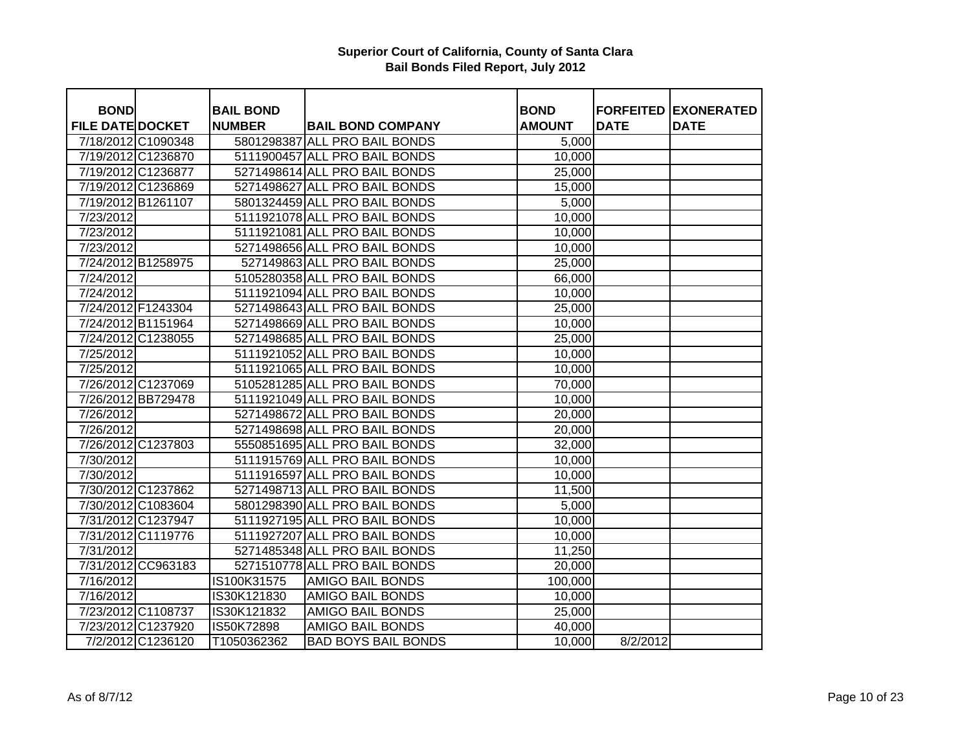| <b>BOND</b>             |                    | <b>BAIL BOND</b> |                               | <b>BOND</b>   |             | <b>FORFEITED EXONERATED</b> |
|-------------------------|--------------------|------------------|-------------------------------|---------------|-------------|-----------------------------|
| <b>FILE DATE DOCKET</b> |                    | <b>NUMBER</b>    | <b>BAIL BOND COMPANY</b>      | <b>AMOUNT</b> | <b>DATE</b> | <b>DATE</b>                 |
| 7/18/2012 C1090348      |                    |                  | 5801298387 ALL PRO BAIL BONDS | 5,000         |             |                             |
|                         | 7/19/2012 C1236870 |                  | 5111900457 ALL PRO BAIL BONDS | 10,000        |             |                             |
| 7/19/2012 C1236877      |                    |                  | 5271498614 ALL PRO BAIL BONDS | 25,000        |             |                             |
|                         | 7/19/2012 C1236869 |                  | 5271498627 ALL PRO BAIL BONDS | 15,000        |             |                             |
| 7/19/2012 B1261107      |                    |                  | 5801324459 ALL PRO BAIL BONDS | 5,000         |             |                             |
| 7/23/2012               |                    |                  | 5111921078 ALL PRO BAIL BONDS | 10,000        |             |                             |
| 7/23/2012               |                    |                  | 5111921081 ALL PRO BAIL BONDS | 10,000        |             |                             |
| 7/23/2012               |                    |                  | 5271498656 ALL PRO BAIL BONDS | 10,000        |             |                             |
| 7/24/2012 B1258975      |                    |                  | 527149863 ALL PRO BAIL BONDS  | 25,000        |             |                             |
| 7/24/2012               |                    |                  | 5105280358 ALL PRO BAIL BONDS | 66,000        |             |                             |
| 7/24/2012               |                    |                  | 5111921094 ALL PRO BAIL BONDS | 10,000        |             |                             |
| 7/24/2012 F1243304      |                    |                  | 5271498643 ALL PRO BAIL BONDS | 25,000        |             |                             |
| 7/24/2012 B1151964      |                    |                  | 5271498669 ALL PRO BAIL BONDS | 10,000        |             |                             |
| 7/24/2012 C1238055      |                    |                  | 5271498685 ALL PRO BAIL BONDS | 25,000        |             |                             |
| 7/25/2012               |                    |                  | 5111921052 ALL PRO BAIL BONDS | 10,000        |             |                             |
| 7/25/2012               |                    |                  | 5111921065 ALL PRO BAIL BONDS | 10,000        |             |                             |
|                         | 7/26/2012 C1237069 |                  | 5105281285 ALL PRO BAIL BONDS | 70,000        |             |                             |
|                         | 7/26/2012 BB729478 |                  | 5111921049 ALL PRO BAIL BONDS | 10,000        |             |                             |
| 7/26/2012               |                    |                  | 5271498672 ALL PRO BAIL BONDS | 20,000        |             |                             |
| 7/26/2012               |                    |                  | 5271498698 ALL PRO BAIL BONDS | 20,000        |             |                             |
|                         | 7/26/2012 C1237803 |                  | 5550851695 ALL PRO BAIL BONDS | 32,000        |             |                             |
| 7/30/2012               |                    |                  | 5111915769 ALL PRO BAIL BONDS | 10,000        |             |                             |
| 7/30/2012               |                    |                  | 5111916597 ALL PRO BAIL BONDS | 10,000        |             |                             |
|                         | 7/30/2012 C1237862 |                  | 5271498713 ALL PRO BAIL BONDS | 11,500        |             |                             |
|                         | 7/30/2012 C1083604 |                  | 5801298390 ALL PRO BAIL BONDS | 5,000         |             |                             |
|                         | 7/31/2012 C1237947 |                  | 5111927195 ALL PRO BAIL BONDS | 10,000        |             |                             |
|                         | 7/31/2012 C1119776 |                  | 5111927207 ALL PRO BAIL BONDS | 10,000        |             |                             |
| 7/31/2012               |                    |                  | 5271485348 ALL PRO BAIL BONDS | 11,250        |             |                             |
|                         | 7/31/2012 CC963183 |                  | 5271510778 ALL PRO BAIL BONDS | 20,000        |             |                             |
| 7/16/2012               |                    | IS100K31575      | <b>AMIGO BAIL BONDS</b>       | 100,000       |             |                             |
| 7/16/2012               |                    | IS30K121830      | <b>AMIGO BAIL BONDS</b>       | 10,000        |             |                             |
| 7/23/2012 C1108737      |                    | IS30K121832      | AMIGO BAIL BONDS              | 25,000        |             |                             |
|                         | 7/23/2012 C1237920 | IS50K72898       | AMIGO BAIL BONDS              | 40,000        |             |                             |
|                         | 7/2/2012 C1236120  | T1050362362      | <b>BAD BOYS BAIL BONDS</b>    | 10,000        | 8/2/2012    |                             |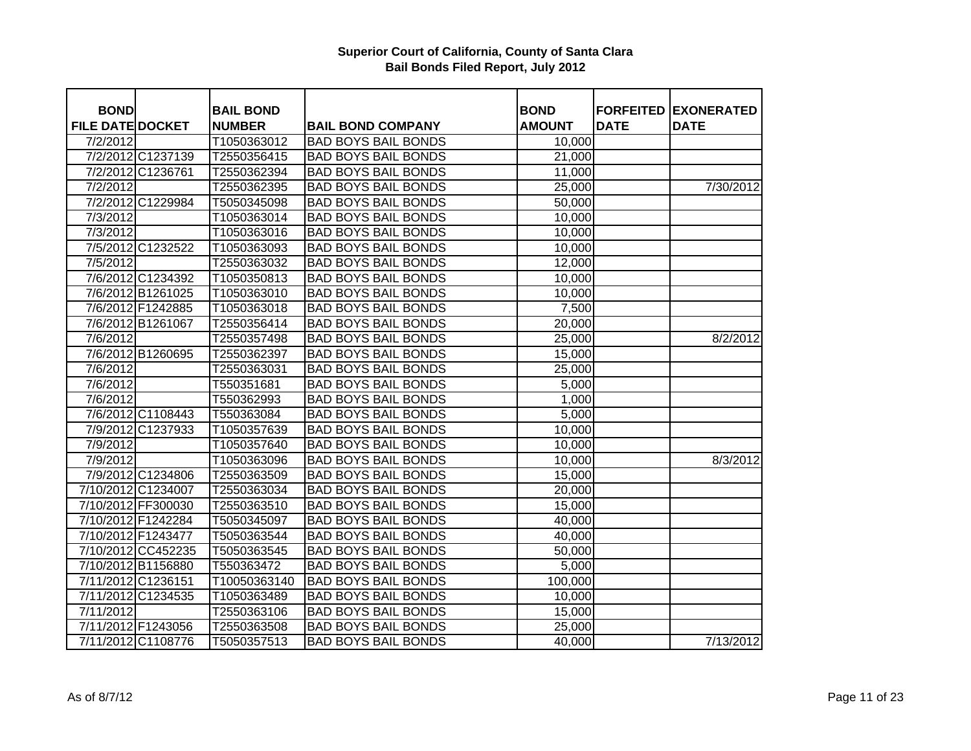| <b>BOND</b>                         |                    | <b>BAIL BOND</b>             |                                                        | <b>BOND</b>   | <b>FORFEITED</b> | <b>EXONERATED</b> |
|-------------------------------------|--------------------|------------------------------|--------------------------------------------------------|---------------|------------------|-------------------|
| <b>FILE DATE DOCKET</b><br>7/2/2012 |                    | <b>NUMBER</b><br>T1050363012 | <b>BAIL BOND COMPANY</b><br><b>BAD BOYS BAIL BONDS</b> | <b>AMOUNT</b> | <b>DATE</b>      | <b>DATE</b>       |
|                                     | 7/2/2012 C1237139  |                              | <b>BAD BOYS BAIL BONDS</b>                             | 10,000        |                  |                   |
|                                     |                    | T2550356415                  |                                                        | 21,000        |                  |                   |
|                                     | 7/2/2012 C1236761  | T2550362394                  | <b>BAD BOYS BAIL BONDS</b>                             | 11,000        |                  |                   |
| 7/2/2012                            |                    | T2550362395                  | <b>BAD BOYS BAIL BONDS</b>                             | 25,000        |                  | 7/30/2012         |
|                                     | 7/2/2012 C1229984  | T5050345098                  | <b>BAD BOYS BAIL BONDS</b>                             | 50,000        |                  |                   |
| 7/3/2012                            |                    | T1050363014                  | <b>BAD BOYS BAIL BONDS</b>                             | 10,000        |                  |                   |
| 7/3/2012                            |                    | T1050363016                  | <b>BAD BOYS BAIL BONDS</b>                             | 10,000        |                  |                   |
|                                     | 7/5/2012 C1232522  | T1050363093                  | <b>BAD BOYS BAIL BONDS</b>                             | 10,000        |                  |                   |
| 7/5/2012                            |                    | T2550363032                  | <b>BAD BOYS BAIL BONDS</b>                             | 12,000        |                  |                   |
|                                     | 7/6/2012 C1234392  | T1050350813                  | <b>BAD BOYS BAIL BONDS</b>                             | 10,000        |                  |                   |
|                                     | 7/6/2012 B1261025  | T1050363010                  | <b>BAD BOYS BAIL BONDS</b>                             | 10,000        |                  |                   |
|                                     | 7/6/2012 F1242885  | T1050363018                  | <b>BAD BOYS BAIL BONDS</b>                             | 7,500         |                  |                   |
|                                     | 7/6/2012 B1261067  | T2550356414                  | <b>BAD BOYS BAIL BONDS</b>                             | 20,000        |                  |                   |
| 7/6/2012                            |                    | T2550357498                  | <b>BAD BOYS BAIL BONDS</b>                             | 25,000        |                  | 8/2/2012          |
|                                     | 7/6/2012 B1260695  | T2550362397                  | <b>BAD BOYS BAIL BONDS</b>                             | 15,000        |                  |                   |
| 7/6/2012                            |                    | T2550363031                  | <b>BAD BOYS BAIL BONDS</b>                             | 25,000        |                  |                   |
| 7/6/2012                            |                    | T550351681                   | <b>BAD BOYS BAIL BONDS</b>                             | 5,000         |                  |                   |
| 7/6/2012                            |                    | T550362993                   | <b>BAD BOYS BAIL BONDS</b>                             | 1,000         |                  |                   |
|                                     | 7/6/2012 C1108443  | T550363084                   | <b>BAD BOYS BAIL BONDS</b>                             | 5,000         |                  |                   |
|                                     | 7/9/2012 C1237933  | T1050357639                  | <b>BAD BOYS BAIL BONDS</b>                             | 10,000        |                  |                   |
| 7/9/2012                            |                    | T1050357640                  | <b>BAD BOYS BAIL BONDS</b>                             | 10,000        |                  |                   |
| 7/9/2012                            |                    | T1050363096                  | <b>BAD BOYS BAIL BONDS</b>                             | 10,000        |                  | 8/3/2012          |
|                                     | 7/9/2012 C1234806  | T2550363509                  | <b>BAD BOYS BAIL BONDS</b>                             | 15,000        |                  |                   |
|                                     | 7/10/2012 C1234007 | T2550363034                  | <b>BAD BOYS BAIL BONDS</b>                             | 20,000        |                  |                   |
|                                     | 7/10/2012 FF300030 | T2550363510                  | <b>BAD BOYS BAIL BONDS</b>                             | 15,000        |                  |                   |
|                                     | 7/10/2012 F1242284 | T5050345097                  | <b>BAD BOYS BAIL BONDS</b>                             | 40,000        |                  |                   |
|                                     | 7/10/2012 F1243477 | T5050363544                  | <b>BAD BOYS BAIL BONDS</b>                             | 40,000        |                  |                   |
|                                     | 7/10/2012 CC452235 | T5050363545                  | <b>BAD BOYS BAIL BONDS</b>                             | 50,000        |                  |                   |
|                                     | 7/10/2012 B1156880 | T550363472                   | <b>BAD BOYS BAIL BONDS</b>                             | 5,000         |                  |                   |
|                                     | 7/11/2012 C1236151 | T10050363140                 | <b>BAD BOYS BAIL BONDS</b>                             | 100,000       |                  |                   |
|                                     | 7/11/2012 C1234535 | T1050363489                  | <b>BAD BOYS BAIL BONDS</b>                             | 10,000        |                  |                   |
| 7/11/2012                           |                    | T2550363106                  | <b>BAD BOYS BAIL BONDS</b>                             | 15,000        |                  |                   |
|                                     | 7/11/2012 F1243056 | T2550363508                  | <b>BAD BOYS BAIL BONDS</b>                             | 25,000        |                  |                   |
|                                     | 7/11/2012 C1108776 | T5050357513                  | <b>BAD BOYS BAIL BONDS</b>                             | 40,000        |                  | 7/13/2012         |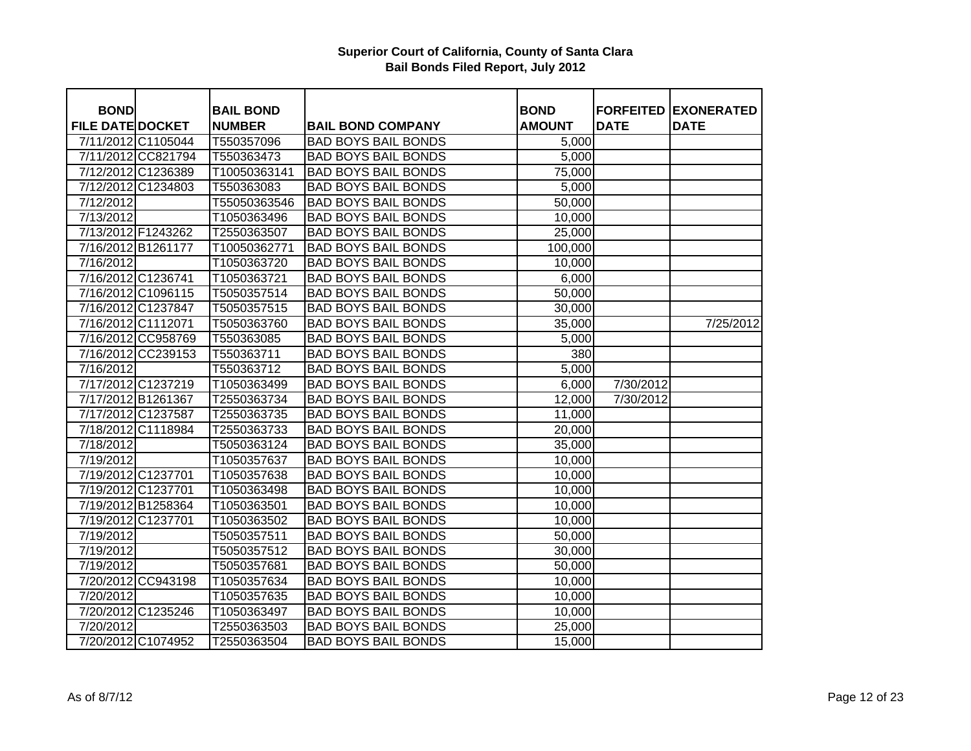| <b>BOND</b>             |                    | <b>BAIL BOND</b> |                            | <b>BOND</b>   |             | <b>FORFEITED EXONERATED</b> |
|-------------------------|--------------------|------------------|----------------------------|---------------|-------------|-----------------------------|
| <b>FILE DATE DOCKET</b> |                    | <b>NUMBER</b>    | <b>BAIL BOND COMPANY</b>   | <b>AMOUNT</b> | <b>DATE</b> | <b>DATE</b>                 |
| 7/11/2012 C1105044      |                    | T550357096       | <b>BAD BOYS BAIL BONDS</b> | 5,000         |             |                             |
|                         | 7/11/2012 CC821794 | T550363473       | <b>BAD BOYS BAIL BONDS</b> | 5,000         |             |                             |
|                         | 7/12/2012 C1236389 | T10050363141     | <b>BAD BOYS BAIL BONDS</b> | 75,000        |             |                             |
|                         | 7/12/2012 C1234803 | T550363083       | <b>BAD BOYS BAIL BONDS</b> | 5,000         |             |                             |
| 7/12/2012               |                    | T55050363546     | <b>BAD BOYS BAIL BONDS</b> | 50,000        |             |                             |
| 7/13/2012               |                    | T1050363496      | <b>BAD BOYS BAIL BONDS</b> | 10,000        |             |                             |
| 7/13/2012 F1243262      |                    | T2550363507      | <b>BAD BOYS BAIL BONDS</b> | 25,000        |             |                             |
| 7/16/2012 B1261177      |                    | T10050362771     | <b>BAD BOYS BAIL BONDS</b> | 100,000       |             |                             |
| 7/16/2012               |                    | T1050363720      | <b>BAD BOYS BAIL BONDS</b> | 10,000        |             |                             |
| 7/16/2012 C1236741      |                    | T1050363721      | <b>BAD BOYS BAIL BONDS</b> | 6,000         |             |                             |
|                         | 7/16/2012 C1096115 | T5050357514      | <b>BAD BOYS BAIL BONDS</b> | 50,000        |             |                             |
|                         | 7/16/2012 C1237847 | T5050357515      | <b>BAD BOYS BAIL BONDS</b> | 30,000        |             |                             |
|                         | 7/16/2012 C1112071 | T5050363760      | <b>BAD BOYS BAIL BONDS</b> | 35,000        |             | 7/25/2012                   |
|                         | 7/16/2012 CC958769 | T550363085       | <b>BAD BOYS BAIL BONDS</b> | 5,000         |             |                             |
|                         | 7/16/2012 CC239153 | T550363711       | <b>BAD BOYS BAIL BONDS</b> | 380           |             |                             |
| 7/16/2012               |                    | T550363712       | <b>BAD BOYS BAIL BONDS</b> | 5,000         |             |                             |
|                         | 7/17/2012 C1237219 | T1050363499      | <b>BAD BOYS BAIL BONDS</b> | 6,000         | 7/30/2012   |                             |
|                         | 7/17/2012 B1261367 | T2550363734      | <b>BAD BOYS BAIL BONDS</b> | 12,000        | 7/30/2012   |                             |
| 7/17/2012 C1237587      |                    | T2550363735      | <b>BAD BOYS BAIL BONDS</b> | 11,000        |             |                             |
|                         | 7/18/2012 C1118984 | T2550363733      | <b>BAD BOYS BAIL BONDS</b> | 20,000        |             |                             |
| 7/18/2012               |                    | T5050363124      | <b>BAD BOYS BAIL BONDS</b> | 35,000        |             |                             |
| 7/19/2012               |                    | T1050357637      | <b>BAD BOYS BAIL BONDS</b> | 10,000        |             |                             |
| 7/19/2012 C1237701      |                    | T1050357638      | <b>BAD BOYS BAIL BONDS</b> | 10,000        |             |                             |
| 7/19/2012 C1237701      |                    | T1050363498      | <b>BAD BOYS BAIL BONDS</b> | 10,000        |             |                             |
|                         | 7/19/2012 B1258364 | T1050363501      | <b>BAD BOYS BAIL BONDS</b> | 10,000        |             |                             |
| 7/19/2012 C1237701      |                    | T1050363502      | <b>BAD BOYS BAIL BONDS</b> | 10,000        |             |                             |
| 7/19/2012               |                    | T5050357511      | <b>BAD BOYS BAIL BONDS</b> | 50,000        |             |                             |
| 7/19/2012               |                    | T5050357512      | <b>BAD BOYS BAIL BONDS</b> | 30,000        |             |                             |
| 7/19/2012               |                    | T5050357681      | <b>BAD BOYS BAIL BONDS</b> | 50,000        |             |                             |
|                         | 7/20/2012 CC943198 | T1050357634      | <b>BAD BOYS BAIL BONDS</b> | 10,000        |             |                             |
| 7/20/2012               |                    | T1050357635      | <b>BAD BOYS BAIL BONDS</b> | 10,000        |             |                             |
| 7/20/2012 C1235246      |                    | T1050363497      | <b>BAD BOYS BAIL BONDS</b> | 10,000        |             |                             |
| 7/20/2012               |                    | T2550363503      | <b>BAD BOYS BAIL BONDS</b> | 25,000        |             |                             |
|                         | 7/20/2012 C1074952 | T2550363504      | <b>BAD BOYS BAIL BONDS</b> | 15,000        |             |                             |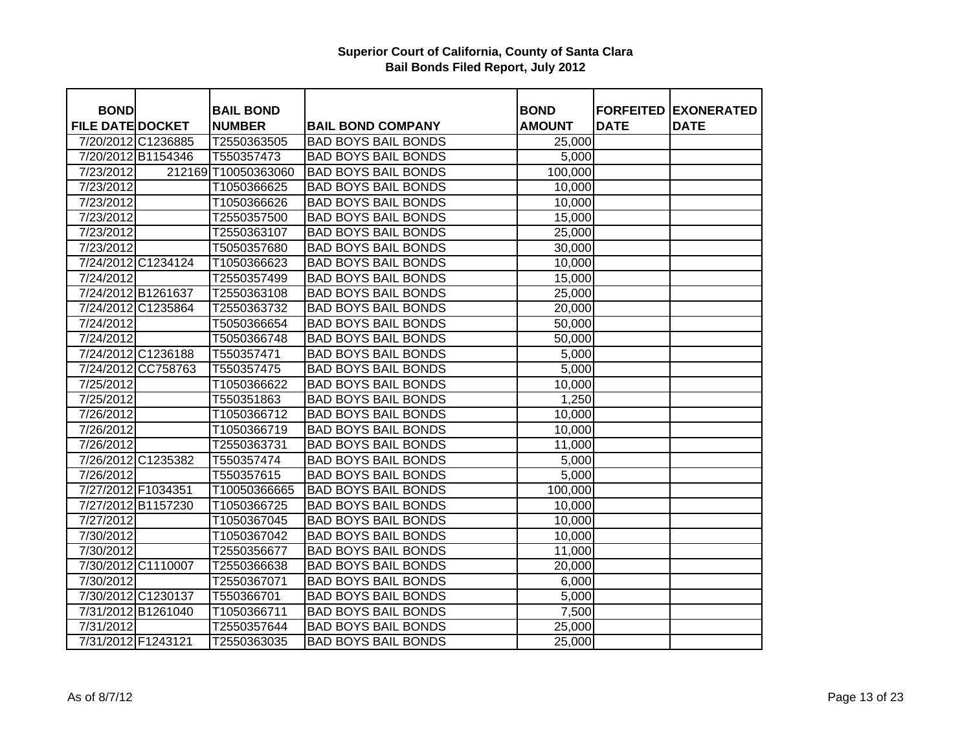| <b>BOND</b>             |                    | <b>BAIL BOND</b>    |                            | <b>BOND</b>   |             | <b>FORFEITED EXONERATED</b> |
|-------------------------|--------------------|---------------------|----------------------------|---------------|-------------|-----------------------------|
| <b>FILE DATE DOCKET</b> |                    | <b>NUMBER</b>       | <b>BAIL BOND COMPANY</b>   | <b>AMOUNT</b> | <b>DATE</b> | <b>DATE</b>                 |
| 7/20/2012 C1236885      |                    | T2550363505         | <b>BAD BOYS BAIL BONDS</b> | 25,000        |             |                             |
| 7/20/2012 B1154346      |                    | T550357473          | <b>BAD BOYS BAIL BONDS</b> | 5,000         |             |                             |
| 7/23/2012               |                    | 212169 T10050363060 | <b>BAD BOYS BAIL BONDS</b> | 100,000       |             |                             |
| 7/23/2012               |                    | T1050366625         | <b>BAD BOYS BAIL BONDS</b> | 10,000        |             |                             |
| 7/23/2012               |                    | T1050366626         | <b>BAD BOYS BAIL BONDS</b> | 10,000        |             |                             |
| 7/23/2012               |                    | T2550357500         | <b>BAD BOYS BAIL BONDS</b> | 15,000        |             |                             |
| 7/23/2012               |                    | T2550363107         | <b>BAD BOYS BAIL BONDS</b> | 25,000        |             |                             |
| 7/23/2012               |                    | T5050357680         | <b>BAD BOYS BAIL BONDS</b> | 30,000        |             |                             |
|                         | 7/24/2012 C1234124 | T1050366623         | <b>BAD BOYS BAIL BONDS</b> | 10,000        |             |                             |
| 7/24/2012               |                    | T2550357499         | <b>BAD BOYS BAIL BONDS</b> | 15,000        |             |                             |
| 7/24/2012 B1261637      |                    | T2550363108         | <b>BAD BOYS BAIL BONDS</b> | 25,000        |             |                             |
| 7/24/2012 C1235864      |                    | T2550363732         | <b>BAD BOYS BAIL BONDS</b> | 20,000        |             |                             |
| 7/24/2012               |                    | T5050366654         | <b>BAD BOYS BAIL BONDS</b> | 50,000        |             |                             |
| 7/24/2012               |                    | T5050366748         | <b>BAD BOYS BAIL BONDS</b> | 50,000        |             |                             |
| 7/24/2012 C1236188      |                    | T550357471          | <b>BAD BOYS BAIL BONDS</b> | 5,000         |             |                             |
|                         | 7/24/2012 CC758763 | T550357475          | <b>BAD BOYS BAIL BONDS</b> | 5,000         |             |                             |
| 7/25/2012               |                    | T1050366622         | <b>BAD BOYS BAIL BONDS</b> | 10,000        |             |                             |
| 7/25/2012               |                    | T550351863          | <b>BAD BOYS BAIL BONDS</b> | 1,250         |             |                             |
| 7/26/2012               |                    | T1050366712         | <b>BAD BOYS BAIL BONDS</b> | 10,000        |             |                             |
| 7/26/2012               |                    | T1050366719         | <b>BAD BOYS BAIL BONDS</b> | 10,000        |             |                             |
| 7/26/2012               |                    | T2550363731         | <b>BAD BOYS BAIL BONDS</b> | 11,000        |             |                             |
| 7/26/2012 C1235382      |                    | T550357474          | <b>BAD BOYS BAIL BONDS</b> | 5,000         |             |                             |
| 7/26/2012               |                    | T550357615          | <b>BAD BOYS BAIL BONDS</b> | 5,000         |             |                             |
| 7/27/2012 F1034351      |                    | T10050366665        | <b>BAD BOYS BAIL BONDS</b> | 100,000       |             |                             |
| 7/27/2012 B1157230      |                    | T1050366725         | <b>BAD BOYS BAIL BONDS</b> | 10,000        |             |                             |
| 7/27/2012               |                    | T1050367045         | <b>BAD BOYS BAIL BONDS</b> | 10,000        |             |                             |
| 7/30/2012               |                    | T1050367042         | <b>BAD BOYS BAIL BONDS</b> | 10,000        |             |                             |
| 7/30/2012               |                    | T2550356677         | <b>BAD BOYS BAIL BONDS</b> | 11,000        |             |                             |
| 7/30/2012 C1110007      |                    | T2550366638         | <b>BAD BOYS BAIL BONDS</b> | 20,000        |             |                             |
| 7/30/2012               |                    | T2550367071         | <b>BAD BOYS BAIL BONDS</b> | 6,000         |             |                             |
| 7/30/2012 C1230137      |                    | T550366701          | <b>BAD BOYS BAIL BONDS</b> | 5,000         |             |                             |
| 7/31/2012 B1261040      |                    | T1050366711         | <b>BAD BOYS BAIL BONDS</b> | 7,500         |             |                             |
| 7/31/2012               |                    | T2550357644         | <b>BAD BOYS BAIL BONDS</b> | 25,000        |             |                             |
| 7/31/2012 F1243121      |                    | T2550363035         | <b>BAD BOYS BAIL BONDS</b> | 25,000        |             |                             |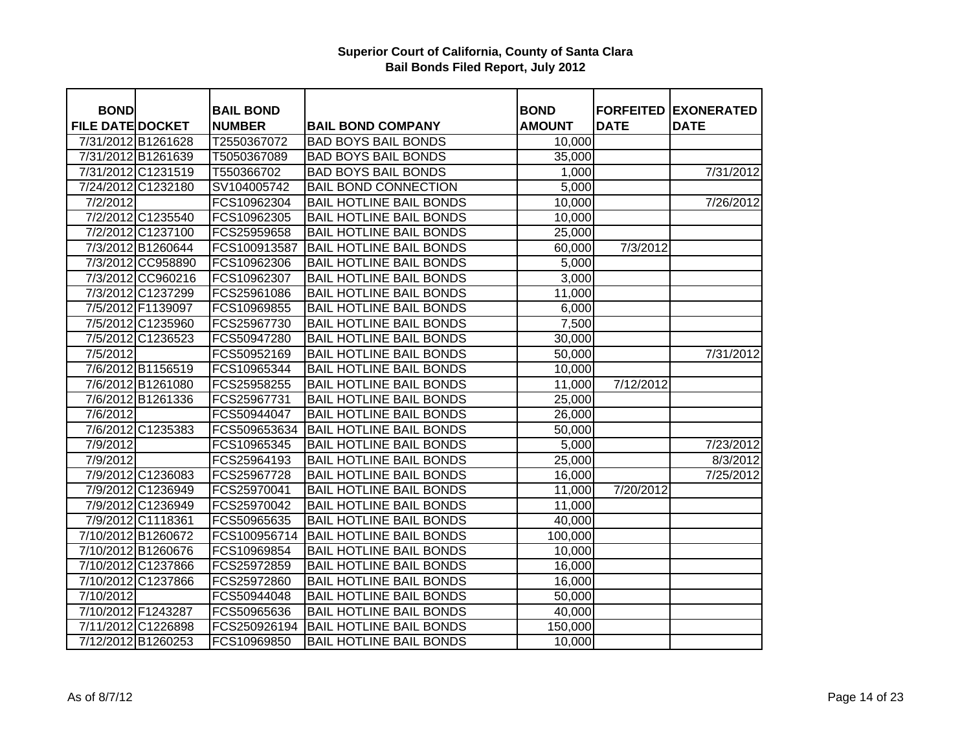| <b>BOND</b>             |                    | <b>BAIL BOND</b> |                                | <b>BOND</b>   | <b>FORFEITED</b> | <b>EXONERATED</b> |
|-------------------------|--------------------|------------------|--------------------------------|---------------|------------------|-------------------|
| <b>FILE DATE DOCKET</b> |                    | <b>NUMBER</b>    | <b>BAIL BOND COMPANY</b>       | <b>AMOUNT</b> | <b>DATE</b>      | <b>DATE</b>       |
| 7/31/2012 B1261628      |                    | T2550367072      | <b>BAD BOYS BAIL BONDS</b>     | 10,000        |                  |                   |
| 7/31/2012 B1261639      |                    | T5050367089      | <b>BAD BOYS BAIL BONDS</b>     | 35,000        |                  |                   |
|                         | 7/31/2012 C1231519 | T550366702       | <b>BAD BOYS BAIL BONDS</b>     | 1,000         |                  | 7/31/2012         |
|                         | 7/24/2012 C1232180 | SV104005742      | <b>BAIL BOND CONNECTION</b>    | 5,000         |                  |                   |
| 7/2/2012                |                    | FCS10962304      | <b>BAIL HOTLINE BAIL BONDS</b> | 10,000        |                  | 7/26/2012         |
|                         | 7/2/2012 C1235540  | FCS10962305      | <b>BAIL HOTLINE BAIL BONDS</b> | 10,000        |                  |                   |
|                         | 7/2/2012 C1237100  | FCS25959658      | <b>BAIL HOTLINE BAIL BONDS</b> | 25,000        |                  |                   |
|                         | 7/3/2012 B1260644  | FCS100913587     | <b>BAIL HOTLINE BAIL BONDS</b> | 60,000        | 7/3/2012         |                   |
|                         | 7/3/2012 CC958890  | FCS10962306      | <b>BAIL HOTLINE BAIL BONDS</b> | 5,000         |                  |                   |
|                         | 7/3/2012 CC960216  | FCS10962307      | <b>BAIL HOTLINE BAIL BONDS</b> | 3,000         |                  |                   |
|                         | 7/3/2012 C1237299  | FCS25961086      | <b>BAIL HOTLINE BAIL BONDS</b> | 11,000        |                  |                   |
|                         | 7/5/2012 F1139097  | FCS10969855      | <b>BAIL HOTLINE BAIL BONDS</b> | 6,000         |                  |                   |
|                         | 7/5/2012 C1235960  | FCS25967730      | <b>BAIL HOTLINE BAIL BONDS</b> | 7,500         |                  |                   |
|                         | 7/5/2012 C1236523  | FCS50947280      | <b>BAIL HOTLINE BAIL BONDS</b> | 30,000        |                  |                   |
| 7/5/2012                |                    | FCS50952169      | <b>BAIL HOTLINE BAIL BONDS</b> | 50,000        |                  | 7/31/2012         |
|                         | 7/6/2012 B1156519  | FCS10965344      | <b>BAIL HOTLINE BAIL BONDS</b> | 10,000        |                  |                   |
|                         | 7/6/2012 B1261080  | FCS25958255      | <b>BAIL HOTLINE BAIL BONDS</b> | 11,000        | 7/12/2012        |                   |
|                         | 7/6/2012 B1261336  | FCS25967731      | <b>BAIL HOTLINE BAIL BONDS</b> | 25,000        |                  |                   |
| 7/6/2012                |                    | FCS50944047      | <b>BAIL HOTLINE BAIL BONDS</b> | 26,000        |                  |                   |
|                         | 7/6/2012 C1235383  | FCS509653634     | <b>BAIL HOTLINE BAIL BONDS</b> | 50,000        |                  |                   |
| 7/9/2012                |                    | FCS10965345      | <b>BAIL HOTLINE BAIL BONDS</b> | 5,000         |                  | 7/23/2012         |
| 7/9/2012                |                    | FCS25964193      | <b>BAIL HOTLINE BAIL BONDS</b> | 25,000        |                  | 8/3/2012          |
|                         | 7/9/2012 C1236083  | FCS25967728      | <b>BAIL HOTLINE BAIL BONDS</b> | 16,000        |                  | 7/25/2012         |
|                         | 7/9/2012 C1236949  | FCS25970041      | <b>BAIL HOTLINE BAIL BONDS</b> | 11,000        | 7/20/2012        |                   |
|                         | 7/9/2012 C1236949  | FCS25970042      | <b>BAIL HOTLINE BAIL BONDS</b> | 11,000        |                  |                   |
|                         | 7/9/2012 C1118361  | FCS50965635      | <b>BAIL HOTLINE BAIL BONDS</b> | 40,000        |                  |                   |
| 7/10/2012 B1260672      |                    | FCS100956714     | <b>BAIL HOTLINE BAIL BONDS</b> | 100,000       |                  |                   |
| 7/10/2012 B1260676      |                    | FCS10969854      | <b>BAIL HOTLINE BAIL BONDS</b> | 10,000        |                  |                   |
|                         | 7/10/2012 C1237866 | FCS25972859      | <b>BAIL HOTLINE BAIL BONDS</b> | 16,000        |                  |                   |
| 7/10/2012 C1237866      |                    | FCS25972860      | <b>BAIL HOTLINE BAIL BONDS</b> | 16,000        |                  |                   |
| 7/10/2012               |                    | FCS50944048      | <b>BAIL HOTLINE BAIL BONDS</b> | 50,000        |                  |                   |
| 7/10/2012 F1243287      |                    | FCS50965636      | <b>BAIL HOTLINE BAIL BONDS</b> | 40,000        |                  |                   |
|                         | 7/11/2012 C1226898 | FCS250926194     | <b>BAIL HOTLINE BAIL BONDS</b> | 150,000       |                  |                   |
| 7/12/2012 B1260253      |                    | FCS10969850      | <b>BAIL HOTLINE BAIL BONDS</b> | 10,000        |                  |                   |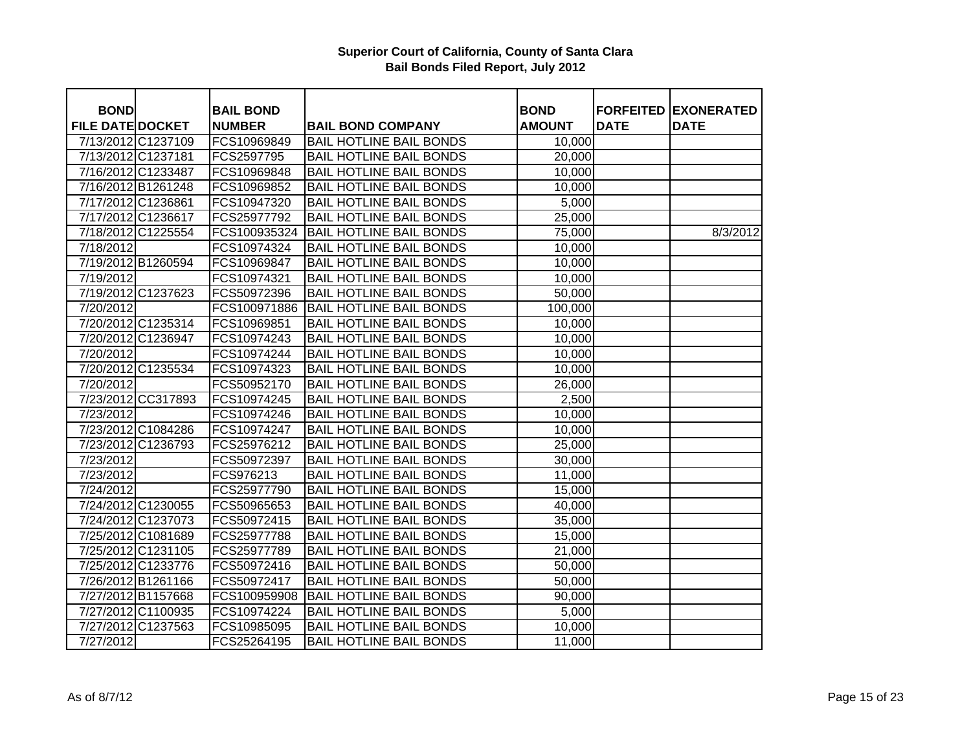|                                        |                    |                                   |                                |                              |             | <b>FORFEITED EXONERATED</b> |
|----------------------------------------|--------------------|-----------------------------------|--------------------------------|------------------------------|-------------|-----------------------------|
| <b>BOND</b><br><b>FILE DATE DOCKET</b> |                    | <b>BAIL BOND</b><br><b>NUMBER</b> | <b>BAIL BOND COMPANY</b>       | <b>BOND</b><br><b>AMOUNT</b> | <b>DATE</b> | <b>DATE</b>                 |
|                                        | 7/13/2012 C1237109 | FCS10969849                       | <b>BAIL HOTLINE BAIL BONDS</b> |                              |             |                             |
| 7/13/2012 C1237181                     |                    | FCS2597795                        | <b>BAIL HOTLINE BAIL BONDS</b> | 10,000<br>20,000             |             |                             |
|                                        | 7/16/2012 C1233487 | FCS10969848                       | <b>BAIL HOTLINE BAIL BONDS</b> |                              |             |                             |
|                                        |                    |                                   |                                | 10,000                       |             |                             |
|                                        | 7/16/2012 B1261248 | FCS10969852                       | <b>BAIL HOTLINE BAIL BONDS</b> | 10,000                       |             |                             |
| 7/17/2012 C1236861                     |                    | FCS10947320                       | <b>BAIL HOTLINE BAIL BONDS</b> | 5,000                        |             |                             |
|                                        | 7/17/2012 C1236617 | FCS25977792                       | <b>BAIL HOTLINE BAIL BONDS</b> | 25,000                       |             |                             |
|                                        | 7/18/2012 C1225554 | FCS100935324                      | <b>BAIL HOTLINE BAIL BONDS</b> | 75,000                       |             | 8/3/2012                    |
| 7/18/2012                              |                    | FCS10974324                       | <b>BAIL HOTLINE BAIL BONDS</b> | 10,000                       |             |                             |
|                                        | 7/19/2012 B1260594 | FCS10969847                       | <b>BAIL HOTLINE BAIL BONDS</b> | 10,000                       |             |                             |
| 7/19/2012                              |                    | FCS10974321                       | <b>BAIL HOTLINE BAIL BONDS</b> | 10,000                       |             |                             |
|                                        | 7/19/2012 C1237623 | FCS50972396                       | <b>BAIL HOTLINE BAIL BONDS</b> | 50,000                       |             |                             |
| 7/20/2012                              |                    | FCS100971886                      | <b>BAIL HOTLINE BAIL BONDS</b> | 100,000                      |             |                             |
|                                        | 7/20/2012 C1235314 | FCS10969851                       | <b>BAIL HOTLINE BAIL BONDS</b> | 10,000                       |             |                             |
|                                        | 7/20/2012 C1236947 | FCS10974243                       | <b>BAIL HOTLINE BAIL BONDS</b> | 10,000                       |             |                             |
| 7/20/2012                              |                    | FCS10974244                       | <b>BAIL HOTLINE BAIL BONDS</b> | 10,000                       |             |                             |
|                                        | 7/20/2012 C1235534 | FCS10974323                       | <b>BAIL HOTLINE BAIL BONDS</b> | 10,000                       |             |                             |
| 7/20/2012                              |                    | FCS50952170                       | <b>BAIL HOTLINE BAIL BONDS</b> | 26,000                       |             |                             |
|                                        | 7/23/2012 CC317893 | FCS10974245                       | <b>BAIL HOTLINE BAIL BONDS</b> | 2,500                        |             |                             |
| 7/23/2012                              |                    | FCS10974246                       | <b>BAIL HOTLINE BAIL BONDS</b> | 10,000                       |             |                             |
|                                        | 7/23/2012 C1084286 | FCS10974247                       | <b>BAIL HOTLINE BAIL BONDS</b> | 10,000                       |             |                             |
|                                        | 7/23/2012 C1236793 | FCS25976212                       | <b>BAIL HOTLINE BAIL BONDS</b> | 25,000                       |             |                             |
| 7/23/2012                              |                    | FCS50972397                       | <b>BAIL HOTLINE BAIL BONDS</b> | 30,000                       |             |                             |
| 7/23/2012                              |                    | FCS976213                         | <b>BAIL HOTLINE BAIL BONDS</b> | 11,000                       |             |                             |
| 7/24/2012                              |                    | FCS25977790                       | <b>BAIL HOTLINE BAIL BONDS</b> | 15,000                       |             |                             |
|                                        | 7/24/2012 C1230055 | FCS50965653                       | <b>BAIL HOTLINE BAIL BONDS</b> | 40,000                       |             |                             |
|                                        | 7/24/2012 C1237073 | FCS50972415                       | <b>BAIL HOTLINE BAIL BONDS</b> | 35,000                       |             |                             |
|                                        | 7/25/2012 C1081689 | FCS25977788                       | <b>BAIL HOTLINE BAIL BONDS</b> | 15,000                       |             |                             |
|                                        | 7/25/2012 C1231105 | FCS25977789                       | <b>BAIL HOTLINE BAIL BONDS</b> | 21,000                       |             |                             |
| 7/25/2012 C1233776                     |                    | FCS50972416                       | <b>BAIL HOTLINE BAIL BONDS</b> | 50,000                       |             |                             |
|                                        | 7/26/2012 B1261166 | FCS50972417                       | <b>BAIL HOTLINE BAIL BONDS</b> | 50,000                       |             |                             |
|                                        | 7/27/2012 B1157668 | FCS100959908                      | <b>BAIL HOTLINE BAIL BONDS</b> | 90,000                       |             |                             |
| 7/27/2012 C1100935                     |                    | FCS10974224                       | <b>BAIL HOTLINE BAIL BONDS</b> | 5,000                        |             |                             |
|                                        | 7/27/2012 C1237563 | FCS10985095                       | <b>BAIL HOTLINE BAIL BONDS</b> | 10,000                       |             |                             |
| 7/27/2012                              |                    | FCS25264195                       | <b>BAIL HOTLINE BAIL BONDS</b> | 11,000                       |             |                             |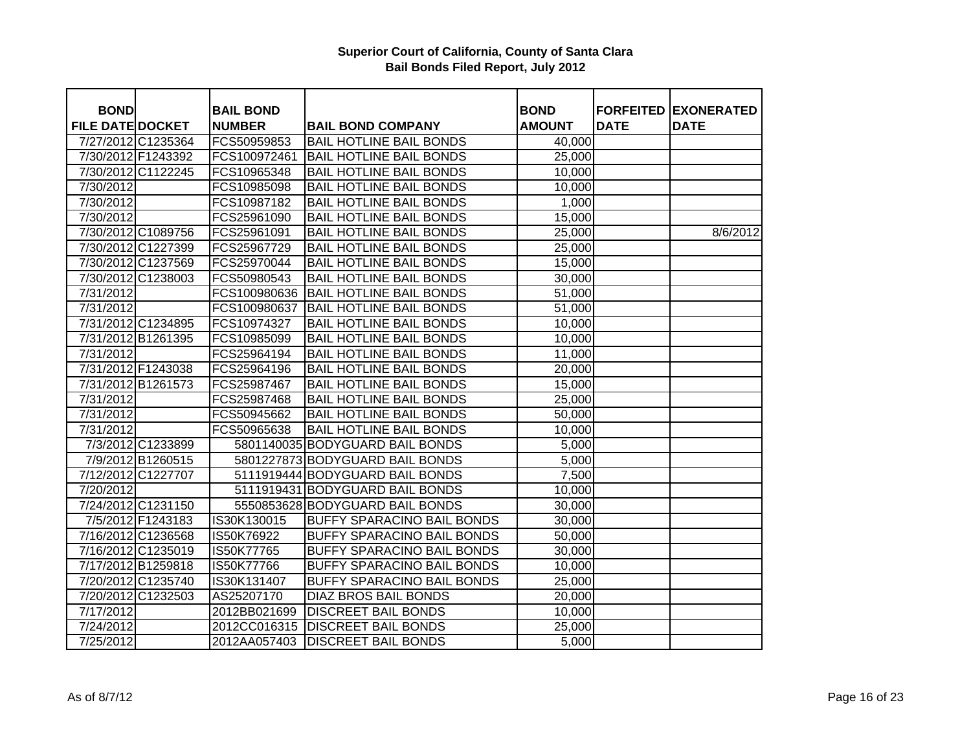| <b>BOND</b>             |                    | <b>BAIL BOND</b>  |                                   | <b>BOND</b>   |             | <b>FORFEITED EXONERATED</b> |
|-------------------------|--------------------|-------------------|-----------------------------------|---------------|-------------|-----------------------------|
| <b>FILE DATE DOCKET</b> |                    | <b>NUMBER</b>     | <b>BAIL BOND COMPANY</b>          | <b>AMOUNT</b> | <b>DATE</b> | <b>DATE</b>                 |
| 7/27/2012 C1235364      |                    | FCS50959853       | <b>BAIL HOTLINE BAIL BONDS</b>    | 40,000        |             |                             |
| 7/30/2012 F1243392      |                    | FCS100972461      | <b>BAIL HOTLINE BAIL BONDS</b>    | 25,000        |             |                             |
| 7/30/2012 C1122245      |                    | FCS10965348       | <b>BAIL HOTLINE BAIL BONDS</b>    | 10,000        |             |                             |
| 7/30/2012               |                    | FCS10985098       | <b>BAIL HOTLINE BAIL BONDS</b>    | 10,000        |             |                             |
| 7/30/2012               |                    | FCS10987182       | <b>BAIL HOTLINE BAIL BONDS</b>    | 1,000         |             |                             |
| 7/30/2012               |                    | FCS25961090       | <b>BAIL HOTLINE BAIL BONDS</b>    | 15,000        |             |                             |
|                         | 7/30/2012 C1089756 | FCS25961091       | <b>BAIL HOTLINE BAIL BONDS</b>    | 25,000        |             | 8/6/2012                    |
|                         | 7/30/2012 C1227399 | FCS25967729       | <b>BAIL HOTLINE BAIL BONDS</b>    | 25,000        |             |                             |
|                         | 7/30/2012 C1237569 | FCS25970044       | <b>BAIL HOTLINE BAIL BONDS</b>    | 15,000        |             |                             |
|                         | 7/30/2012 C1238003 | FCS50980543       | <b>BAIL HOTLINE BAIL BONDS</b>    | 30,000        |             |                             |
| 7/31/2012               |                    | FCS100980636      | <b>BAIL HOTLINE BAIL BONDS</b>    | 51,000        |             |                             |
| 7/31/2012               |                    | FCS100980637      | <b>BAIL HOTLINE BAIL BONDS</b>    | 51,000        |             |                             |
| 7/31/2012 C1234895      |                    | FCS10974327       | <b>BAIL HOTLINE BAIL BONDS</b>    | 10,000        |             |                             |
| 7/31/2012 B1261395      |                    | FCS10985099       | <b>BAIL HOTLINE BAIL BONDS</b>    | 10,000        |             |                             |
| 7/31/2012               |                    | FCS25964194       | <b>BAIL HOTLINE BAIL BONDS</b>    | 11,000        |             |                             |
| 7/31/2012 F1243038      |                    | FCS25964196       | <b>BAIL HOTLINE BAIL BONDS</b>    | 20,000        |             |                             |
|                         | 7/31/2012 B1261573 | FCS25987467       | <b>BAIL HOTLINE BAIL BONDS</b>    | 15,000        |             |                             |
| 7/31/2012               |                    | FCS25987468       | <b>BAIL HOTLINE BAIL BONDS</b>    | 25,000        |             |                             |
| 7/31/2012               |                    | FCS50945662       | <b>BAIL HOTLINE BAIL BONDS</b>    | 50,000        |             |                             |
| 7/31/2012               |                    | FCS50965638       | <b>BAIL HOTLINE BAIL BONDS</b>    | 10,000        |             |                             |
|                         | 7/3/2012 C1233899  |                   | 5801140035 BODYGUARD BAIL BONDS   | 5,000         |             |                             |
|                         | 7/9/2012 B1260515  |                   | 5801227873 BODYGUARD BAIL BONDS   | 5,000         |             |                             |
|                         | 7/12/2012 C1227707 |                   | 5111919444 BODYGUARD BAIL BONDS   | 7,500         |             |                             |
| 7/20/2012               |                    |                   | 5111919431 BODYGUARD BAIL BONDS   | 10,000        |             |                             |
|                         | 7/24/2012 C1231150 |                   | 5550853628 BODYGUARD BAIL BONDS   | 30,000        |             |                             |
|                         | 7/5/2012 F1243183  | IS30K130015       | <b>BUFFY SPARACINO BAIL BONDS</b> | 30,000        |             |                             |
|                         | 7/16/2012 C1236568 | IS50K76922        | <b>BUFFY SPARACINO BAIL BONDS</b> | 50,000        |             |                             |
|                         | 7/16/2012 C1235019 | IS50K77765        | <b>BUFFY SPARACINO BAIL BONDS</b> | 30,000        |             |                             |
|                         | 7/17/2012 B1259818 | <b>IS50K77766</b> | <b>BUFFY SPARACINO BAIL BONDS</b> | 10,000        |             |                             |
|                         | 7/20/2012 C1235740 | IS30K131407       | <b>BUFFY SPARACINO BAIL BONDS</b> | 25,000        |             |                             |
|                         | 7/20/2012 C1232503 | AS25207170        | DIAZ BROS BAIL BONDS              | 20,000        |             |                             |
| 7/17/2012               |                    | 2012BB021699      | <b>DISCREET BAIL BONDS</b>        | 10,000        |             |                             |
| 7/24/2012               |                    | 2012CC016315      | <b>DISCREET BAIL BONDS</b>        | 25,000        |             |                             |
| 7/25/2012               |                    | 2012AA057403      | <b>DISCREET BAIL BONDS</b>        | 5,000         |             |                             |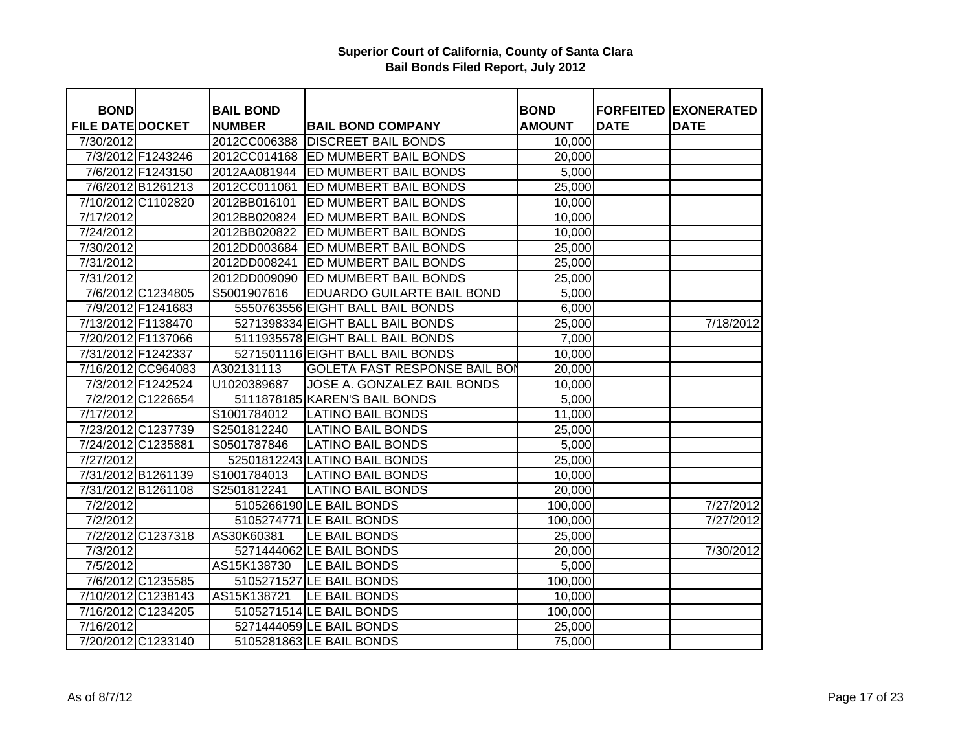| <b>BOND</b>             |                    |                                   |                                      |                              |             | <b>FORFEITED EXONERATED</b> |
|-------------------------|--------------------|-----------------------------------|--------------------------------------|------------------------------|-------------|-----------------------------|
| <b>FILE DATE DOCKET</b> |                    | <b>BAIL BOND</b><br><b>NUMBER</b> | <b>BAIL BOND COMPANY</b>             | <b>BOND</b><br><b>AMOUNT</b> | <b>DATE</b> | <b>DATE</b>                 |
| 7/30/2012               |                    | 2012CC006388                      | <b>DISCREET BAIL BONDS</b>           | 10,000                       |             |                             |
|                         | 7/3/2012 F1243246  |                                   | 2012CC014168 ED MUMBERT BAIL BONDS   | 20,000                       |             |                             |
|                         | 7/6/2012 F1243150  | 2012AA081944                      | <b>ED MUMBERT BAIL BONDS</b>         | 5,000                        |             |                             |
|                         | 7/6/2012 B1261213  | 2012CC011061                      | ED MUMBERT BAIL BONDS                | 25,000                       |             |                             |
|                         | 7/10/2012 C1102820 | 2012BB016101                      | ED MUMBERT BAIL BONDS                | 10,000                       |             |                             |
| 7/17/2012               |                    | 2012BB020824                      | ED MUMBERT BAIL BONDS                | 10,000                       |             |                             |
| 7/24/2012               |                    | 2012BB020822                      | ED MUMBERT BAIL BONDS                | 10,000                       |             |                             |
| 7/30/2012               |                    | 2012DD003684                      | ED MUMBERT BAIL BONDS                | 25,000                       |             |                             |
| 7/31/2012               |                    | 2012DD008241                      | ED MUMBERT BAIL BONDS                | 25,000                       |             |                             |
| 7/31/2012               |                    | 2012DD009090                      | <b>ED MUMBERT BAIL BONDS</b>         | 25,000                       |             |                             |
|                         | 7/6/2012 C1234805  | S5001907616                       | EDUARDO GUILARTE BAIL BOND           | 5,000                        |             |                             |
|                         | 7/9/2012 F1241683  |                                   | 5550763556 EIGHT BALL BAIL BONDS     | 6,000                        |             |                             |
| 7/13/2012 F1138470      |                    |                                   | 5271398334 EIGHT BALL BAIL BONDS     | 25,000                       |             | 7/18/2012                   |
| 7/20/2012 F1137066      |                    |                                   | 5111935578 EIGHT BALL BAIL BONDS     | 7,000                        |             |                             |
| 7/31/2012 F1242337      |                    |                                   | 5271501116 EIGHT BALL BAIL BONDS     | 10,000                       |             |                             |
|                         | 7/16/2012 CC964083 | A302131113                        | <b>GOLETA FAST RESPONSE BAIL BOI</b> | 20,000                       |             |                             |
|                         | 7/3/2012 F1242524  | U1020389687                       | JOSE A. GONZALEZ BAIL BONDS          | 10,000                       |             |                             |
|                         | 7/2/2012 C1226654  |                                   | 5111878185 KAREN'S BAIL BONDS        | 5,000                        |             |                             |
| $\frac{1}{7}{17}/2012$  |                    | S1001784012                       | <b>LATINO BAIL BONDS</b>             | 11,000                       |             |                             |
|                         | 7/23/2012 C1237739 | S2501812240                       | <b>LATINO BAIL BONDS</b>             | 25,000                       |             |                             |
| 7/24/2012 C1235881      |                    | S0501787846                       | <b>LATINO BAIL BONDS</b>             | 5,000                        |             |                             |
| 7/27/2012               |                    |                                   | 52501812243 LATINO BAIL BONDS        | 25,000                       |             |                             |
| 7/31/2012 B1261139      |                    | S1001784013                       | <b>LATINO BAIL BONDS</b>             | 10,000                       |             |                             |
|                         | 7/31/2012 B1261108 | S2501812241                       | <b>LATINO BAIL BONDS</b>             | 20,000                       |             |                             |
| 7/2/2012                |                    |                                   | 5105266190 LE BAIL BONDS             | 100,000                      |             | 7/27/2012                   |
| 7/2/2012                |                    |                                   | 5105274771 LE BAIL BONDS             | 100,000                      |             | 7/27/2012                   |
|                         | 7/2/2012 C1237318  | AS30K60381                        | LE BAIL BONDS                        | 25,000                       |             |                             |
| 7/3/2012                |                    |                                   | 5271444062 LE BAIL BONDS             | 20,000                       |             | 7/30/2012                   |
| 7/5/2012                |                    | AS15K138730                       | LE BAIL BONDS                        | 5,000                        |             |                             |
|                         | 7/6/2012 C1235585  |                                   | 5105271527 LE BAIL BONDS             | 100,000                      |             |                             |
|                         | 7/10/2012 C1238143 | AS15K138721                       | LE BAIL BONDS                        | 10,000                       |             |                             |
| 7/16/2012 C1234205      |                    |                                   | 5105271514 LE BAIL BONDS             | 100,000                      |             |                             |
| 7/16/2012               |                    |                                   | 5271444059 LE BAIL BONDS             | 25,000                       |             |                             |
|                         | 7/20/2012 C1233140 |                                   | 5105281863 LE BAIL BONDS             | 75,000                       |             |                             |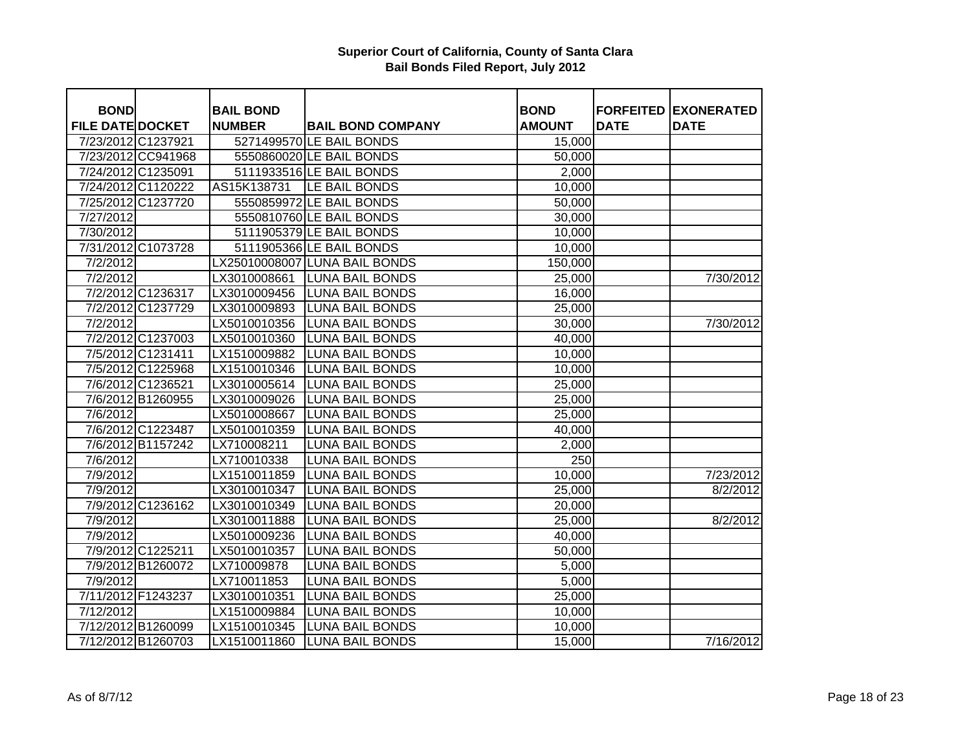| <b>BOND</b>             |                    | <b>BAIL BOND</b> |                               | <b>BOND</b>   |             | <b>FORFEITED EXONERATED</b> |
|-------------------------|--------------------|------------------|-------------------------------|---------------|-------------|-----------------------------|
| <b>FILE DATE DOCKET</b> |                    | <b>NUMBER</b>    | <b>BAIL BOND COMPANY</b>      | <b>AMOUNT</b> | <b>DATE</b> | <b>DATE</b>                 |
|                         | 7/23/2012 C1237921 |                  | 5271499570 LE BAIL BONDS      | 15,000        |             |                             |
|                         | 7/23/2012 CC941968 |                  | 5550860020 LE BAIL BONDS      | 50,000        |             |                             |
|                         | 7/24/2012 C1235091 |                  | 5111933516 LE BAIL BONDS      | 2,000         |             |                             |
|                         | 7/24/2012 C1120222 | AS15K138731      | LE BAIL BONDS                 | 10,000        |             |                             |
|                         | 7/25/2012 C1237720 |                  | 5550859972 LE BAIL BONDS      | 50,000        |             |                             |
| 7/27/2012               |                    |                  | 5550810760 LE BAIL BONDS      | 30,000        |             |                             |
| 7/30/2012               |                    |                  | 5111905379 LE BAIL BONDS      | 10,000        |             |                             |
|                         | 7/31/2012 C1073728 |                  | 5111905366 LE BAIL BONDS      | 10,000        |             |                             |
| 7/2/2012                |                    |                  | LX25010008007 LUNA BAIL BONDS | 150,000       |             |                             |
| 7/2/2012                |                    | LX3010008661     | <b>LUNA BAIL BONDS</b>        | 25,000        |             | 7/30/2012                   |
|                         | 7/2/2012 C1236317  | LX3010009456     | <b>LUNA BAIL BONDS</b>        | 16,000        |             |                             |
|                         | 7/2/2012 C1237729  | LX3010009893     | <b>LUNA BAIL BONDS</b>        | 25,000        |             |                             |
| 7/2/2012                |                    | LX5010010356     | <b>LUNA BAIL BONDS</b>        | 30,000        |             | 7/30/2012                   |
|                         | 7/2/2012 C1237003  | LX5010010360     | <b>LUNA BAIL BONDS</b>        | 40,000        |             |                             |
|                         | 7/5/2012 C1231411  | LX1510009882     | <b>LUNA BAIL BONDS</b>        | 10,000        |             |                             |
|                         | 7/5/2012 C1225968  | LX1510010346     | <b>LUNA BAIL BONDS</b>        | 10,000        |             |                             |
|                         | 7/6/2012 C1236521  | LX3010005614     | <b>LUNA BAIL BONDS</b>        | 25,000        |             |                             |
|                         | 7/6/2012 B1260955  | LX3010009026     | <b>LUNA BAIL BONDS</b>        | 25,000        |             |                             |
| 7/6/2012                |                    | LX5010008667     | <b>LUNA BAIL BONDS</b>        | 25,000        |             |                             |
|                         | 7/6/2012 C1223487  | LX5010010359     | <b>LUNA BAIL BONDS</b>        | 40,000        |             |                             |
|                         | 7/6/2012 B1157242  | LX710008211      | <b>LUNA BAIL BONDS</b>        | 2,000         |             |                             |
| 7/6/2012                |                    | LX710010338      | <b>LUNA BAIL BONDS</b>        | 250           |             |                             |
| 7/9/2012                |                    | LX1510011859     | <b>LUNA BAIL BONDS</b>        | 10,000        |             | 7/23/2012                   |
| 7/9/2012                |                    | LX3010010347     | <b>LUNA BAIL BONDS</b>        | 25,000        |             | 8/2/2012                    |
|                         | 7/9/2012 C1236162  | LX3010010349     | <b>LUNA BAIL BONDS</b>        | 20,000        |             |                             |
| 7/9/2012                |                    | LX3010011888     | <b>LUNA BAIL BONDS</b>        | 25,000        |             | 8/2/2012                    |
| 7/9/2012                |                    | LX5010009236     | <b>LUNA BAIL BONDS</b>        | 40,000        |             |                             |
|                         | 7/9/2012 C1225211  | LX5010010357     | <b>LUNA BAIL BONDS</b>        | 50,000        |             |                             |
|                         | 7/9/2012 B1260072  | LX710009878      | <b>LUNA BAIL BONDS</b>        | 5,000         |             |                             |
| 7/9/2012                |                    | LX710011853      | <b>LUNA BAIL BONDS</b>        | 5,000         |             |                             |
|                         | 7/11/2012 F1243237 | LX3010010351     | <b>LUNA BAIL BONDS</b>        | 25,000        |             |                             |
| 7/12/2012               |                    | LX1510009884     | <b>LUNA BAIL BONDS</b>        | 10,000        |             |                             |
|                         | 7/12/2012 B1260099 | LX1510010345     | <b>LUNA BAIL BONDS</b>        | 10,000        |             |                             |
|                         | 7/12/2012 B1260703 | LX1510011860     | <b>LUNA BAIL BONDS</b>        | 15,000        |             | 7/16/2012                   |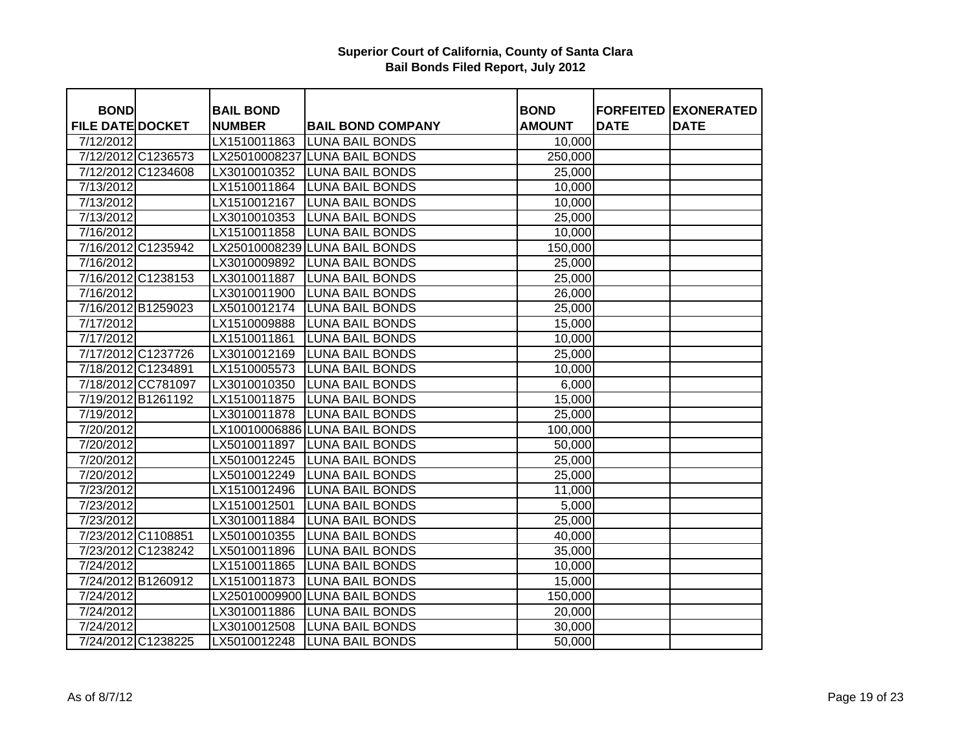| <b>BOND</b>             |                    | <b>BAIL BOND</b> |                               | <b>BOND</b>   |             | <b>FORFEITED EXONERATED</b> |
|-------------------------|--------------------|------------------|-------------------------------|---------------|-------------|-----------------------------|
| <b>FILE DATE DOCKET</b> |                    | <b>NUMBER</b>    | <b>BAIL BOND COMPANY</b>      | <b>AMOUNT</b> | <b>DATE</b> | <b>DATE</b>                 |
| 7/12/2012               |                    | LX1510011863     | <b>LUNA BAIL BONDS</b>        | 10,000        |             |                             |
|                         | 7/12/2012 C1236573 |                  | LX25010008237 LUNA BAIL BONDS | 250,000       |             |                             |
|                         | 7/12/2012 C1234608 | LX3010010352     | <b>ILUNA BAIL BONDS</b>       | 25,000        |             |                             |
| 7/13/2012               |                    | LX1510011864     | <b>LUNA BAIL BONDS</b>        | 10,000        |             |                             |
| 7/13/2012               |                    | LX1510012167     | <b>LUNA BAIL BONDS</b>        | 10,000        |             |                             |
| 7/13/2012               |                    | LX3010010353     | <b>LUNA BAIL BONDS</b>        | 25,000        |             |                             |
| 7/16/2012               |                    | LX1510011858     | <b>LUNA BAIL BONDS</b>        | 10,000        |             |                             |
|                         | 7/16/2012 C1235942 |                  | LX25010008239 LUNA BAIL BONDS | 150,000       |             |                             |
| 7/16/2012               |                    | LX3010009892     | <b>LUNA BAIL BONDS</b>        | 25,000        |             |                             |
|                         | 7/16/2012 C1238153 | LX3010011887     | <b>LUNA BAIL BONDS</b>        | 25,000        |             |                             |
| 7/16/2012               |                    | LX3010011900     | <b>LUNA BAIL BONDS</b>        | 26,000        |             |                             |
|                         | 7/16/2012 B1259023 | LX5010012174     | <b>LUNA BAIL BONDS</b>        | 25,000        |             |                             |
| 7/17/2012               |                    | LX1510009888     | <b>LUNA BAIL BONDS</b>        | 15,000        |             |                             |
| 7/17/2012               |                    | LX1510011861     | <b>LUNA BAIL BONDS</b>        | 10,000        |             |                             |
|                         | 7/17/2012 C1237726 | LX3010012169     | <b>LUNA BAIL BONDS</b>        | 25,000        |             |                             |
|                         | 7/18/2012 C1234891 | LX1510005573     | <b>LUNA BAIL BONDS</b>        | 10,000        |             |                             |
|                         | 7/18/2012 CC781097 | LX3010010350     | <b>LUNA BAIL BONDS</b>        | 6,000         |             |                             |
|                         | 7/19/2012 B1261192 | LX1510011875     | <b>LUNA BAIL BONDS</b>        | 15,000        |             |                             |
| 7/19/2012               |                    | LX3010011878     | <b>LUNA BAIL BONDS</b>        | 25,000        |             |                             |
| 7/20/2012               |                    |                  | LX10010006886 LUNA BAIL BONDS | 100,000       |             |                             |
| 7/20/2012               |                    | LX5010011897     | <b>LUNA BAIL BONDS</b>        | 50,000        |             |                             |
| 7/20/2012               |                    |                  | LX5010012245 LUNA BAIL BONDS  | 25,000        |             |                             |
| 7/20/2012               |                    | LX5010012249     | <b>LUNA BAIL BONDS</b>        | 25,000        |             |                             |
| 7/23/2012               |                    | LX1510012496     | <b>LUNA BAIL BONDS</b>        | 11,000        |             |                             |
| 7/23/2012               |                    | LX1510012501     | <b>LUNA BAIL BONDS</b>        | 5,000         |             |                             |
| 7/23/2012               |                    | LX3010011884     | <b>LUNA BAIL BONDS</b>        | 25,000        |             |                             |
|                         | 7/23/2012 C1108851 | LX5010010355     | <b>LUNA BAIL BONDS</b>        | 40,000        |             |                             |
|                         | 7/23/2012 C1238242 | LX5010011896     | <b>LUNA BAIL BONDS</b>        | 35,000        |             |                             |
| 7/24/2012               |                    | LX1510011865     | <b>LUNA BAIL BONDS</b>        | 10,000        |             |                             |
|                         | 7/24/2012 B1260912 | LX1510011873     | <b>LUNA BAIL BONDS</b>        | 15,000        |             |                             |
| 7/24/2012               |                    |                  | LX25010009900 LUNA BAIL BONDS | 150,000       |             |                             |
| 7/24/2012               |                    | LX3010011886     | <b>LUNA BAIL BONDS</b>        | 20,000        |             |                             |
| 7/24/2012               |                    | LX3010012508     | <b>LUNA BAIL BONDS</b>        | 30,000        |             |                             |
|                         | 7/24/2012 C1238225 | LX5010012248     | <b>LUNA BAIL BONDS</b>        | 50,000        |             |                             |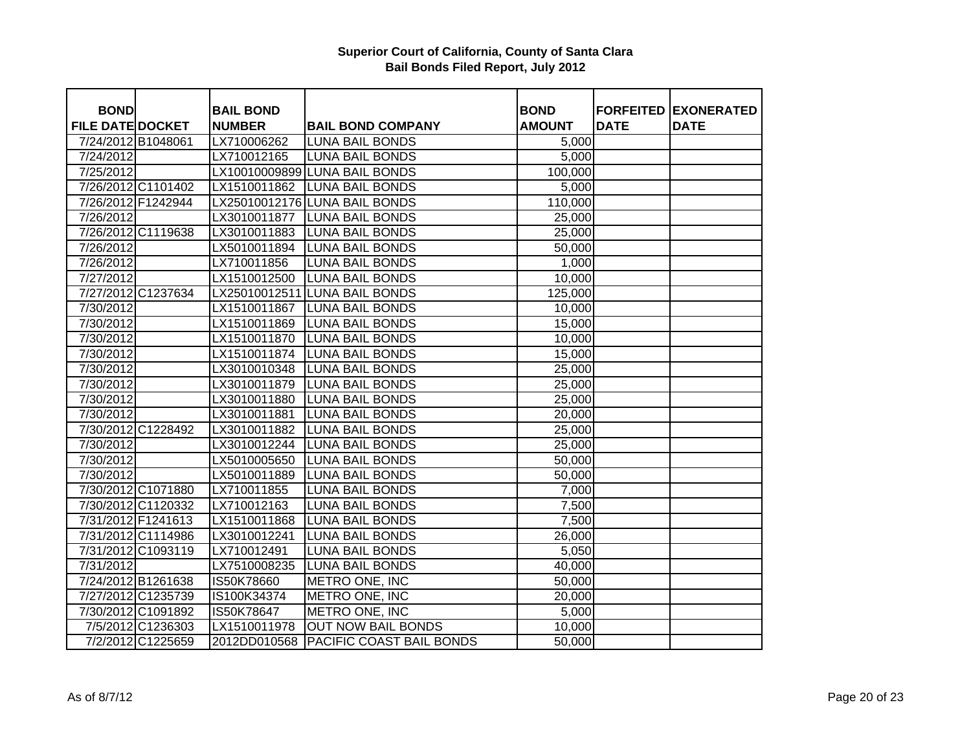| <b>BOND</b>             |                    | <b>BAIL BOND</b> |                                         | <b>BOND</b>        |             | <b>FORFEITED EXONERATED</b> |
|-------------------------|--------------------|------------------|-----------------------------------------|--------------------|-------------|-----------------------------|
| <b>FILE DATE DOCKET</b> |                    | <b>NUMBER</b>    | <b>BAIL BOND COMPANY</b>                | <b>AMOUNT</b>      | <b>DATE</b> | <b>DATE</b>                 |
|                         | 7/24/2012 B1048061 | LX710006262      | <b>LUNA BAIL BONDS</b>                  | 5,000              |             |                             |
| 7/24/2012               |                    | LX710012165      | <b>LUNA BAIL BONDS</b>                  | $\overline{5,000}$ |             |                             |
| 7/25/2012               |                    |                  | LX10010009899 LUNA BAIL BONDS           | 100,000            |             |                             |
|                         | 7/26/2012 C1101402 | LX1510011862     | <b>LUNA BAIL BONDS</b>                  | 5,000              |             |                             |
|                         | 7/26/2012 F1242944 |                  | LX25010012176 LUNA BAIL BONDS           | 110,000            |             |                             |
| 7/26/2012               |                    | LX3010011877     | <b>LUNA BAIL BONDS</b>                  | 25,000             |             |                             |
|                         | 7/26/2012 C1119638 | LX3010011883     | <b>LUNA BAIL BONDS</b>                  | 25,000             |             |                             |
| 7/26/2012               |                    | LX5010011894     | <b>LUNA BAIL BONDS</b>                  | 50,000             |             |                             |
| 7/26/2012               |                    | LX710011856      | <b>LUNA BAIL BONDS</b>                  | 1,000              |             |                             |
| 7/27/2012               |                    | LX1510012500     | <b>LUNA BAIL BONDS</b>                  | 10,000             |             |                             |
|                         | 7/27/2012 C1237634 |                  | LX25010012511 LUNA BAIL BONDS           | 125,000            |             |                             |
| 7/30/2012               |                    | LX1510011867     | <b>LUNA BAIL BONDS</b>                  | 10,000             |             |                             |
| 7/30/2012               |                    | LX1510011869     | <b>LUNA BAIL BONDS</b>                  | 15,000             |             |                             |
| 7/30/2012               |                    | LX1510011870     | <b>LUNA BAIL BONDS</b>                  | 10,000             |             |                             |
| 7/30/2012               |                    | LX1510011874     | <b>LUNA BAIL BONDS</b>                  | 15,000             |             |                             |
| 7/30/2012               |                    | LX3010010348     | <b>LUNA BAIL BONDS</b>                  | 25,000             |             |                             |
| 7/30/2012               |                    | LX3010011879     | <b>LUNA BAIL BONDS</b>                  | 25,000             |             |                             |
| 7/30/2012               |                    | LX3010011880     | <b>LUNA BAIL BONDS</b>                  | 25,000             |             |                             |
| 7/30/2012               |                    | LX3010011881     | <b>LUNA BAIL BONDS</b>                  | 20,000             |             |                             |
|                         | 7/30/2012 C1228492 | LX3010011882     | <b>LUNA BAIL BONDS</b>                  | 25,000             |             |                             |
| 7/30/2012               |                    | LX3010012244     | <b>LUNA BAIL BONDS</b>                  | 25,000             |             |                             |
| 7/30/2012               |                    | LX5010005650     | <b>LUNA BAIL BONDS</b>                  | 50,000             |             |                             |
| 7/30/2012               |                    | LX5010011889     | <b>LUNA BAIL BONDS</b>                  | 50,000             |             |                             |
|                         | 7/30/2012 C1071880 | LX710011855      | <b>LUNA BAIL BONDS</b>                  | 7,000              |             |                             |
|                         | 7/30/2012 C1120332 | LX710012163      | <b>LUNA BAIL BONDS</b>                  | 7,500              |             |                             |
|                         | 7/31/2012 F1241613 | LX1510011868     | <b>LUNA BAIL BONDS</b>                  | 7,500              |             |                             |
|                         | 7/31/2012 C1114986 | LX3010012241     | <b>LUNA BAIL BONDS</b>                  | 26,000             |             |                             |
|                         | 7/31/2012 C1093119 | LX710012491      | <b>LUNA BAIL BONDS</b>                  | 5,050              |             |                             |
| 7/31/2012               |                    | LX7510008235     | <b>LUNA BAIL BONDS</b>                  | 40,000             |             |                             |
|                         | 7/24/2012 B1261638 | IS50K78660       | METRO ONE, INC                          | 50,000             |             |                             |
|                         | 7/27/2012 C1235739 | IS100K34374      | METRO ONE, INC                          | 20,000             |             |                             |
|                         | 7/30/2012 C1091892 | IS50K78647       | METRO ONE, INC                          | 5,000              |             |                             |
|                         | 7/5/2012 C1236303  | LX1510011978     | <b>OUT NOW BAIL BONDS</b>               | 10,000             |             |                             |
|                         | 7/2/2012 C1225659  |                  | 2012DD010568   PACIFIC COAST BAIL BONDS | 50,000             |             |                             |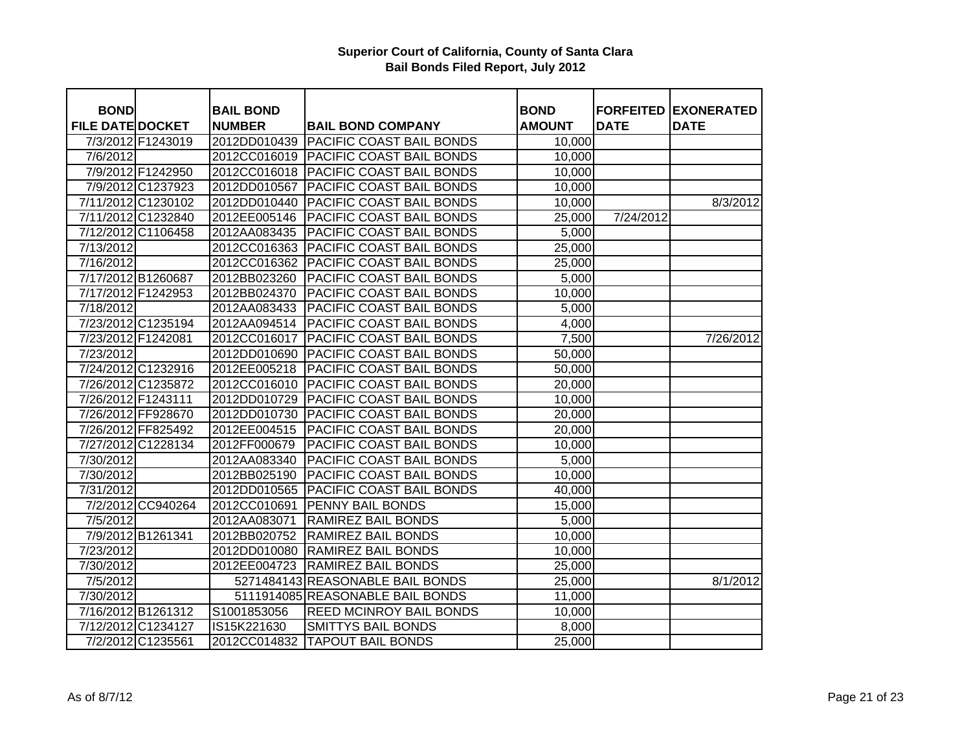| <b>BOND</b>             |                    | <b>BAIL BOND</b> |                                       | <b>BOND</b>   |             | <b>FORFEITED EXONERATED</b> |
|-------------------------|--------------------|------------------|---------------------------------------|---------------|-------------|-----------------------------|
| <b>FILE DATE DOCKET</b> |                    | <b>NUMBER</b>    | <b>BAIL BOND COMPANY</b>              | <b>AMOUNT</b> | <b>DATE</b> | <b>DATE</b>                 |
|                         | 7/3/2012 F1243019  |                  | 2012DD010439 PACIFIC COAST BAIL BONDS | 10,000        |             |                             |
| 7/6/2012                |                    |                  | 2012CC016019 PACIFIC COAST BAIL BONDS | 10,000        |             |                             |
|                         | 7/9/2012 F1242950  | 2012CC016018     | <b>PACIFIC COAST BAIL BONDS</b>       | 10,000        |             |                             |
|                         | 7/9/2012 C1237923  | 2012DD010567     | PACIFIC COAST BAIL BONDS              | 10,000        |             |                             |
| 7/11/2012 C1230102      |                    | 2012DD010440     | PACIFIC COAST BAIL BONDS              | 10,000        |             | 8/3/2012                    |
|                         | 7/11/2012 C1232840 | 2012EE005146     | PACIFIC COAST BAIL BONDS              | 25,000        | 7/24/2012   |                             |
| 7/12/2012 C1106458      |                    | 2012AA083435     | PACIFIC COAST BAIL BONDS              | 5,000         |             |                             |
| 7/13/2012               |                    | 2012CC016363     | PACIFIC COAST BAIL BONDS              | 25,000        |             |                             |
| 7/16/2012               |                    | 2012CC016362     | PACIFIC COAST BAIL BONDS              | 25,000        |             |                             |
| 7/17/2012 B1260687      |                    | 2012BB023260     | PACIFIC COAST BAIL BONDS              | 5,000         |             |                             |
| 7/17/2012 F1242953      |                    | 2012BB024370     | PACIFIC COAST BAIL BONDS              | 10,000        |             |                             |
| 7/18/2012               |                    | 2012AA083433     | PACIFIC COAST BAIL BONDS              | 5,000         |             |                             |
|                         | 7/23/2012 C1235194 | 2012AA094514     | PACIFIC COAST BAIL BONDS              | 4,000         |             |                             |
| 7/23/2012 F1242081      |                    | 2012CC016017     | PACIFIC COAST BAIL BONDS              | 7,500         |             | 7/26/2012                   |
| 7/23/2012               |                    | 2012DD010690     | PACIFIC COAST BAIL BONDS              | 50,000        |             |                             |
| 7/24/2012 C1232916      |                    | 2012EE005218     | PACIFIC COAST BAIL BONDS              | 50,000        |             |                             |
|                         | 7/26/2012 C1235872 | 2012CC016010     | <b>PACIFIC COAST BAIL BONDS</b>       | 20,000        |             |                             |
| 7/26/2012 F1243111      |                    | 2012DD010729     | <b>PACIFIC COAST BAIL BONDS</b>       | 10,000        |             |                             |
| 7/26/2012 FF928670      |                    | 2012DD010730     | <b>PACIFIC COAST BAIL BONDS</b>       | 20,000        |             |                             |
| 7/26/2012 FF825492      |                    | 2012EE004515     | <b>PACIFIC COAST BAIL BONDS</b>       | 20,000        |             |                             |
|                         | 7/27/2012 C1228134 | 2012FF000679     | <b>PACIFIC COAST BAIL BONDS</b>       | 10,000        |             |                             |
| 7/30/2012               |                    | 2012AA083340     | PACIFIC COAST BAIL BONDS              | 5,000         |             |                             |
| 7/30/2012               |                    | 2012BB025190     | <b>PACIFIC COAST BAIL BONDS</b>       | 10,000        |             |                             |
| 7/31/2012               |                    | 2012DD010565     | <b>PACIFIC COAST BAIL BONDS</b>       | 40,000        |             |                             |
|                         | 7/2/2012 CC940264  | 2012CC010691     | <b>PENNY BAIL BONDS</b>               | 15,000        |             |                             |
| 7/5/2012                |                    | 2012AA083071     | <b>RAMIREZ BAIL BONDS</b>             | 5,000         |             |                             |
|                         | 7/9/2012 B1261341  | 2012BB020752     | <b>RAMIREZ BAIL BONDS</b>             | 10,000        |             |                             |
| 7/23/2012               |                    | 2012DD010080     | <b>RAMIREZ BAIL BONDS</b>             | 10,000        |             |                             |
| 7/30/2012               |                    | 2012EE004723     | <b>RAMIREZ BAIL BONDS</b>             | 25,000        |             |                             |
| 7/5/2012                |                    |                  | 5271484143 REASONABLE BAIL BONDS      | 25,000        |             | 8/1/2012                    |
| 7/30/2012               |                    |                  | 5111914085 REASONABLE BAIL BONDS      | 11,000        |             |                             |
| 7/16/2012 B1261312      |                    | S1001853056      | <b>REED MCINROY BAIL BONDS</b>        | 10,000        |             |                             |
|                         | 7/12/2012 C1234127 | IS15K221630      | <b>SMITTYS BAIL BONDS</b>             | 8,000         |             |                             |
|                         | 7/2/2012 C1235561  | 2012CC014832     | <b>TAPOUT BAIL BONDS</b>              | 25,000        |             |                             |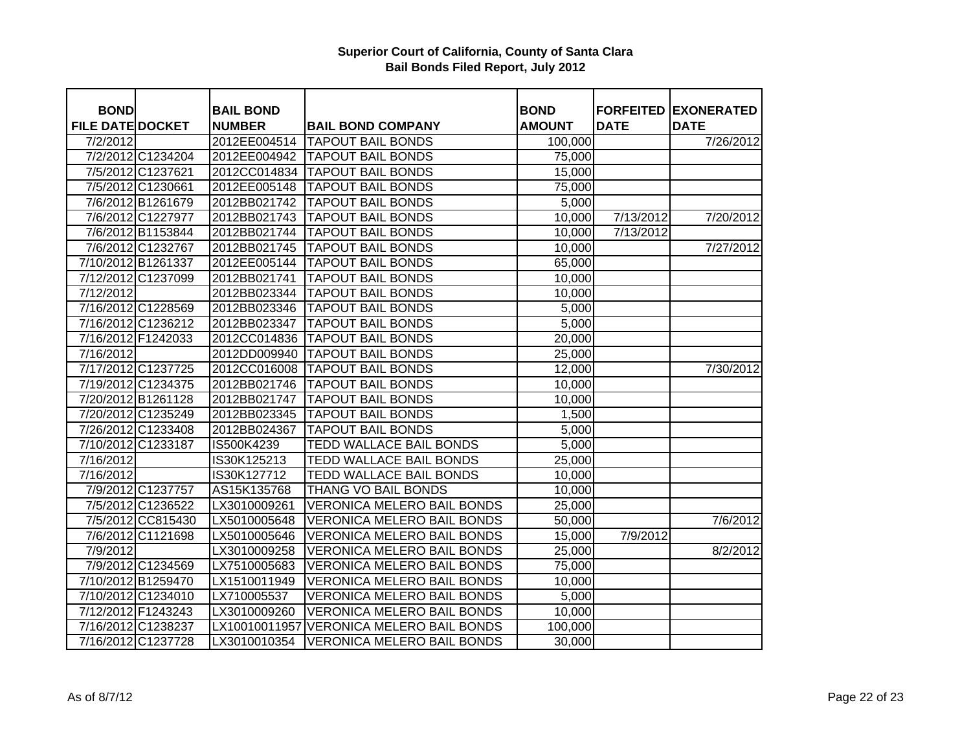| <b>BOND</b>             |                    | <b>BAIL BOND</b> |                                   | <b>BOND</b>   | <b>FORFEITED</b> | <b>EXONERATED</b> |
|-------------------------|--------------------|------------------|-----------------------------------|---------------|------------------|-------------------|
| <b>FILE DATE DOCKET</b> |                    | <b>NUMBER</b>    | <b>BAIL BOND COMPANY</b>          | <b>AMOUNT</b> | <b>DATE</b>      | <b>DATE</b>       |
| 7/2/2012                |                    | 2012EE004514     | <b>TAPOUT BAIL BONDS</b>          | 100,000       |                  | 7/26/2012         |
|                         | 7/2/2012 C1234204  | 2012EE004942     | <b>TAPOUT BAIL BONDS</b>          | 75,000        |                  |                   |
|                         | 7/5/2012 C1237621  | 2012CC014834     | <b>TAPOUT BAIL BONDS</b>          | 15,000        |                  |                   |
|                         | 7/5/2012 C1230661  | 2012EE005148     | <b>TAPOUT BAIL BONDS</b>          | 75,000        |                  |                   |
|                         | 7/6/2012 B1261679  | 2012BB021742     | <b>TAPOUT BAIL BONDS</b>          | 5,000         |                  |                   |
|                         | 7/6/2012 C1227977  | 2012BB021743     | <b>TAPOUT BAIL BONDS</b>          | 10,000        | 7/13/2012        | 7/20/2012         |
|                         | 7/6/2012 B1153844  | 2012BB021744     | <b>TAPOUT BAIL BONDS</b>          | 10,000        | 7/13/2012        |                   |
|                         | 7/6/2012 C1232767  | 2012BB021745     | <b>TAPOUT BAIL BONDS</b>          | 10,000        |                  | 7/27/2012         |
| 7/10/2012 B1261337      |                    | 2012EE005144     | <b>TAPOUT BAIL BONDS</b>          | 65,000        |                  |                   |
|                         | 7/12/2012 C1237099 | 2012BB021741     | <b>TAPOUT BAIL BONDS</b>          | 10,000        |                  |                   |
| 7/12/2012               |                    | 2012BB023344     | <b>TAPOUT BAIL BONDS</b>          | 10,000        |                  |                   |
|                         | 7/16/2012 C1228569 | 2012BB023346     | <b>TAPOUT BAIL BONDS</b>          | 5,000         |                  |                   |
|                         | 7/16/2012 C1236212 | 2012BB023347     | <b>TAPOUT BAIL BONDS</b>          | 5,000         |                  |                   |
| 7/16/2012 F1242033      |                    | 2012CC014836     | <b>TAPOUT BAIL BONDS</b>          | 20,000        |                  |                   |
| 7/16/2012               |                    | 2012DD009940     | <b>TAPOUT BAIL BONDS</b>          | 25,000        |                  |                   |
|                         | 7/17/2012 C1237725 | 2012CC016008     | <b>TAPOUT BAIL BONDS</b>          | 12,000        |                  | 7/30/2012         |
|                         | 7/19/2012 C1234375 | 2012BB021746     | <b>TAPOUT BAIL BONDS</b>          | 10,000        |                  |                   |
|                         | 7/20/2012 B1261128 | 2012BB021747     | <b>TAPOUT BAIL BONDS</b>          | 10,000        |                  |                   |
|                         | 7/20/2012 C1235249 | 2012BB023345     | <b>TAPOUT BAIL BONDS</b>          | 1,500         |                  |                   |
|                         | 7/26/2012 C1233408 | 2012BB024367     | <b>TAPOUT BAIL BONDS</b>          | 5,000         |                  |                   |
|                         | 7/10/2012 C1233187 | IS500K4239       | TEDD WALLACE BAIL BONDS           | 5,000         |                  |                   |
| 7/16/2012               |                    | IS30K125213      | TEDD WALLACE BAIL BONDS           | 25,000        |                  |                   |
| 7/16/2012               |                    | IS30K127712      | TEDD WALLACE BAIL BONDS           | 10,000        |                  |                   |
|                         | 7/9/2012 C1237757  | AS15K135768      | THANG VO BAIL BONDS               | 10,000        |                  |                   |
|                         | 7/5/2012 C1236522  | LX3010009261     | <b>VERONICA MELERO BAIL BONDS</b> | 25,000        |                  |                   |
|                         | 7/5/2012 CC815430  | LX5010005648     | <b>VERONICA MELERO BAIL BONDS</b> | 50,000        |                  | 7/6/2012          |
|                         | 7/6/2012 C1121698  | LX5010005646     | <b>VERONICA MELERO BAIL BONDS</b> | 15,000        | 7/9/2012         |                   |
| 7/9/2012                |                    | LX3010009258     | <b>VERONICA MELERO BAIL BONDS</b> | 25,000        |                  | 8/2/2012          |
|                         | 7/9/2012 C1234569  | LX7510005683     | <b>VERONICA MELERO BAIL BONDS</b> | 75,000        |                  |                   |
|                         | 7/10/2012 B1259470 | LX1510011949     | <b>VERONICA MELERO BAIL BONDS</b> | 10,000        |                  |                   |
|                         | 7/10/2012 C1234010 | LX710005537      | <b>VERONICA MELERO BAIL BONDS</b> | 5,000         |                  |                   |
|                         | 7/12/2012 F1243243 | LX3010009260     | <b>VERONICA MELERO BAIL BONDS</b> | 10,000        |                  |                   |
|                         | 7/16/2012 C1238237 | LX10010011957    | <b>VERONICA MELERO BAIL BONDS</b> | 100,000       |                  |                   |
|                         | 7/16/2012 C1237728 | LX3010010354     | <b>VERONICA MELERO BAIL BONDS</b> | 30,000        |                  |                   |